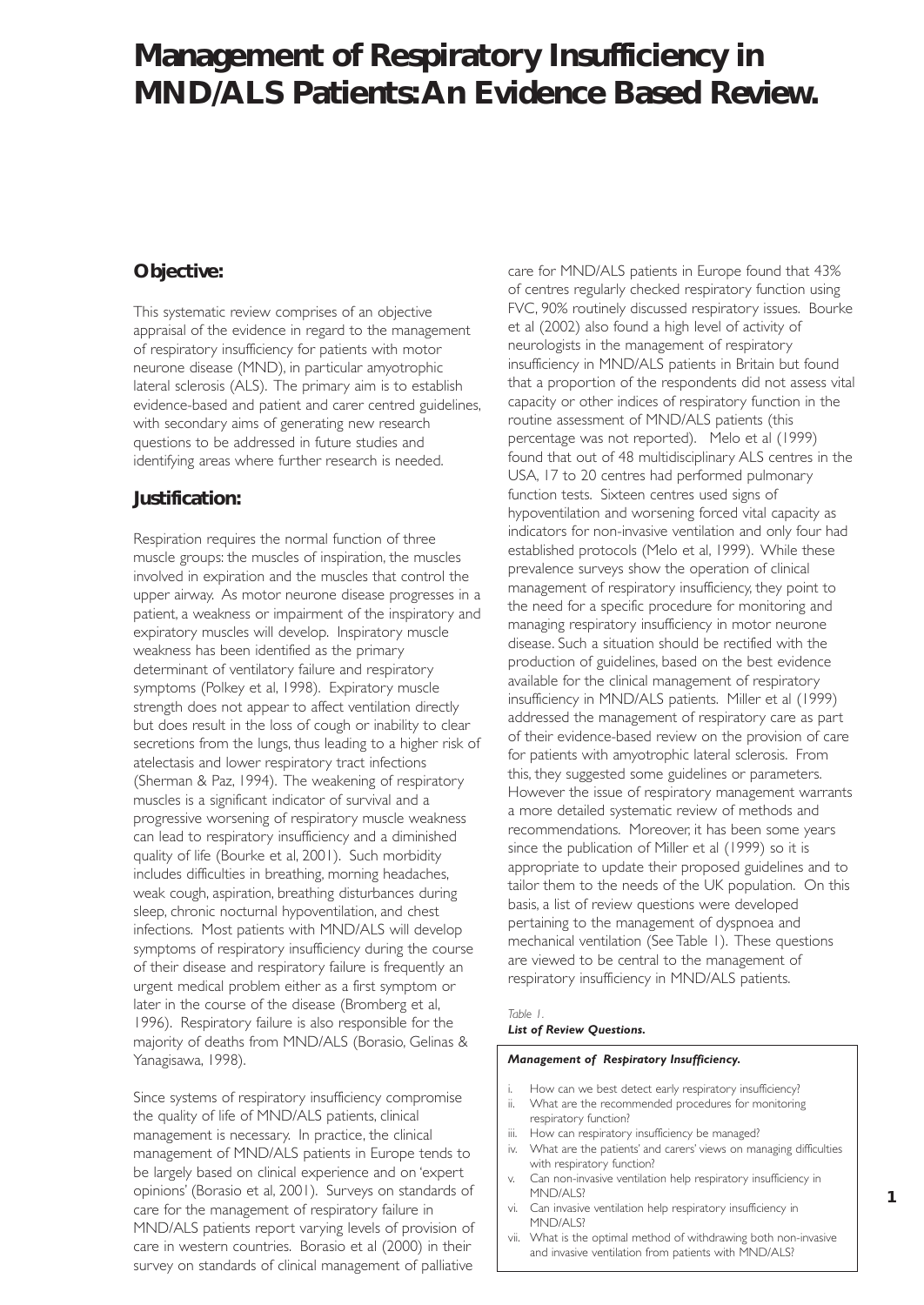# **Management of Respiratory Insufficiency in MND/ALS Patients:An Evidence Based Review.**

## **Objective:**

This systematic review comprises of an objective appraisal of the evidence in regard to the management of respiratory insufficiency for patients with motor neurone disease (MND), in particular amyotrophic lateral sclerosis (ALS). The primary aim is to establish evidence-based and patient and carer centred guidelines, with secondary aims of generating new research questions to be addressed in future studies and identifying areas where further research is needed.

## **Justification:**

Respiration requires the normal function of three muscle groups: the muscles of inspiration, the muscles involved in expiration and the muscles that control the upper airway. As motor neurone disease progresses in a patient, a weakness or impairment of the inspiratory and expiratory muscles will develop. Inspiratory muscle weakness has been identified as the primary determinant of ventilatory failure and respiratory symptoms (Polkey et al, 1998). Expiratory muscle strength does not appear to affect ventilation directly but does result in the loss of cough or inability to clear secretions from the lungs, thus leading to a higher risk of atelectasis and lower respiratory tract infections (Sherman & Paz, 1994). The weakening of respiratory muscles is a significant indicator of survival and a progressive worsening of respiratory muscle weakness can lead to respiratory insufficiency and a diminished quality of life (Bourke et al, 2001). Such morbidity includes difficulties in breathing, morning headaches, weak cough, aspiration, breathing disturbances during sleep, chronic nocturnal hypoventilation, and chest infections. Most patients with MND/ALS will develop symptoms of respiratory insufficiency during the course of their disease and respiratory failure is frequently an urgent medical problem either as a first symptom or later in the course of the disease (Bromberg et al, 1996). Respiratory failure is also responsible for the majority of deaths from MND/ALS (Borasio, Gelinas & Yanagisawa, 1998).

Since systems of respiratory insufficiency compromise the quality of life of MND/ALS patients, clinical management is necessary. In practice, the clinical management of MND/ALS patients in Europe tends to be largely based on clinical experience and on 'expert opinions' (Borasio et al, 2001). Surveys on standards of care for the management of respiratory failure in MND/ALS patients report varying levels of provision of care in western countries. Borasio et al (2000) in their survey on standards of clinical management of palliative

care for MND/ALS patients in Europe found that 43% of centres regularly checked respiratory function using FVC, 90% routinely discussed respiratory issues. Bourke et al (2002) also found a high level of activity of neurologists in the management of respiratory insufficiency in MND/ALS patients in Britain but found that a proportion of the respondents did not assess vital capacity or other indices of respiratory function in the routine assessment of MND/ALS patients (this percentage was not reported). Melo et al (1999) found that out of 48 multidisciplinary ALS centres in the USA, 17 to 20 centres had performed pulmonary function tests. Sixteen centres used signs of hypoventilation and worsening forced vital capacity as indicators for non-invasive ventilation and only four had established protocols (Melo et al, 1999). While these prevalence surveys show the operation of clinical management of respiratory insufficiency, they point to the need for a specific procedure for monitoring and managing respiratory insufficiency in motor neurone disease. Such a situation should be rectified with the production of guidelines, based on the best evidence available for the clinical management of respiratory insufficiency in MND/ALS patients. Miller et al (1999) addressed the management of respiratory care as part of their evidence-based review on the provision of care for patients with amyotrophic lateral sclerosis. From this, they suggested some guidelines or parameters. However the issue of respiratory management warrants a more detailed systematic review of methods and recommendations. Moreover, it has been some years since the publication of Miller et al (1999) so it is appropriate to update their proposed guidelines and to tailor them to the needs of the UK population. On this basis, a list of review questions were developed pertaining to the management of dyspnoea and mechanical ventilation (See Table 1). These questions are viewed to be central to the management of respiratory insufficiency in MND/ALS patients.

### *Table 1.*

#### *List of Review Questions.*

#### *Management of Respiratory Insufficiency.*

- i. How can we best detect early respiratory insufficiency?
- ii. What are the recommended procedures for monitoring respiratory function?
- iii. How can respiratory insufficiency be managed?
- iv. What are the patients' and carers' views on managing difficulties with respiratory function?

**1**

- v. Can non-invasive ventilation help respiratory insufficiency in MND/ALS?
- vi. Can invasive ventilation help respiratory insufficiency in MND/ALS?
- vii. What is the optimal method of withdrawing both non-invasive and invasive ventilation from patients with MND/ALS?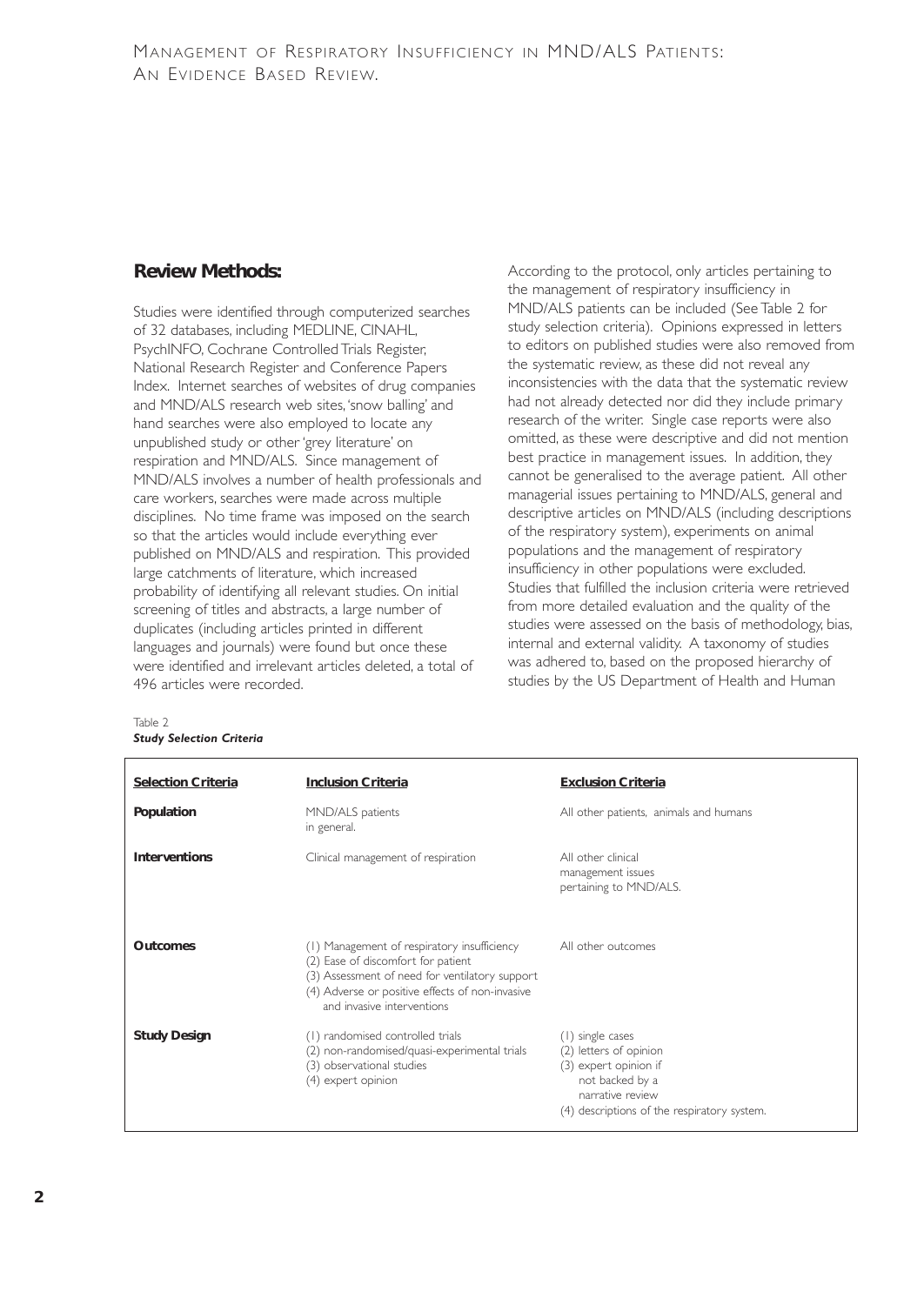## **Review Methods:**

Studies were identified through computerized searches of 32 databases, including MEDLINE, CINAHL, PsychINFO, Cochrane Controlled Trials Register, National Research Register and Conference Papers Index. Internet searches of websites of drug companies and MND/ALS research web sites,'snow balling' and hand searches were also employed to locate any unpublished study or other 'grey literature' on respiration and MND/ALS. Since management of MND/ALS involves a number of health professionals and care workers, searches were made across multiple disciplines. No time frame was imposed on the search so that the articles would include everything ever published on MND/ALS and respiration. This provided large catchments of literature, which increased probability of identifying all relevant studies. On initial screening of titles and abstracts, a large number of duplicates (including articles printed in different languages and journals) were found but once these were identified and irrelevant articles deleted, a total of 496 articles were recorded.

According to the protocol, only articles pertaining to the management of respiratory insufficiency in MND/ALS patients can be included (See Table 2 for study selection criteria). Opinions expressed in letters to editors on published studies were also removed from the systematic review, as these did not reveal any inconsistencies with the data that the systematic review had not already detected nor did they include primary research of the writer. Single case reports were also omitted, as these were descriptive and did not mention best practice in management issues. In addition, they cannot be generalised to the average patient. All other managerial issues pertaining to MND/ALS, general and descriptive articles on MND/ALS (including descriptions of the respiratory system), experiments on animal populations and the management of respiratory insufficiency in other populations were excluded. Studies that fulfilled the inclusion criteria were retrieved from more detailed evaluation and the quality of the studies were assessed on the basis of methodology, bias, internal and external validity. A taxonomy of studies was adhered to, based on the proposed hierarchy of studies by the US Department of Health and Human

| <b>Selection Criteria</b> | <b>Inclusion Criteria</b>                                                                                                                                                                                            | <b>Exclusion Criteria</b>                                                                                                                                 |
|---------------------------|----------------------------------------------------------------------------------------------------------------------------------------------------------------------------------------------------------------------|-----------------------------------------------------------------------------------------------------------------------------------------------------------|
| Population                | MND/ALS patients<br>in general.                                                                                                                                                                                      | All other patients, animals and humans                                                                                                                    |
| <b>Interventions</b>      | Clinical management of respiration                                                                                                                                                                                   | All other clinical<br>management issues<br>pertaining to MND/ALS.                                                                                         |
| <b>Outcomes</b>           | (1) Management of respiratory insufficiency<br>(2) Ease of discomfort for patient<br>(3) Assessment of need for ventilatory support<br>(4) Adverse or positive effects of non-invasive<br>and invasive interventions | All other outcomes                                                                                                                                        |
| <b>Study Design</b>       | (1) randomised controlled trials<br>(2) non-randomised/quasi-experimental trials<br>(3) observational studies<br>(4) expert opinion                                                                                  | (1) single cases<br>(2) letters of opinion<br>(3) expert opinion if<br>not backed by a<br>narrative review<br>(4) descriptions of the respiratory system. |

Table 2 *Study Selection Criteria*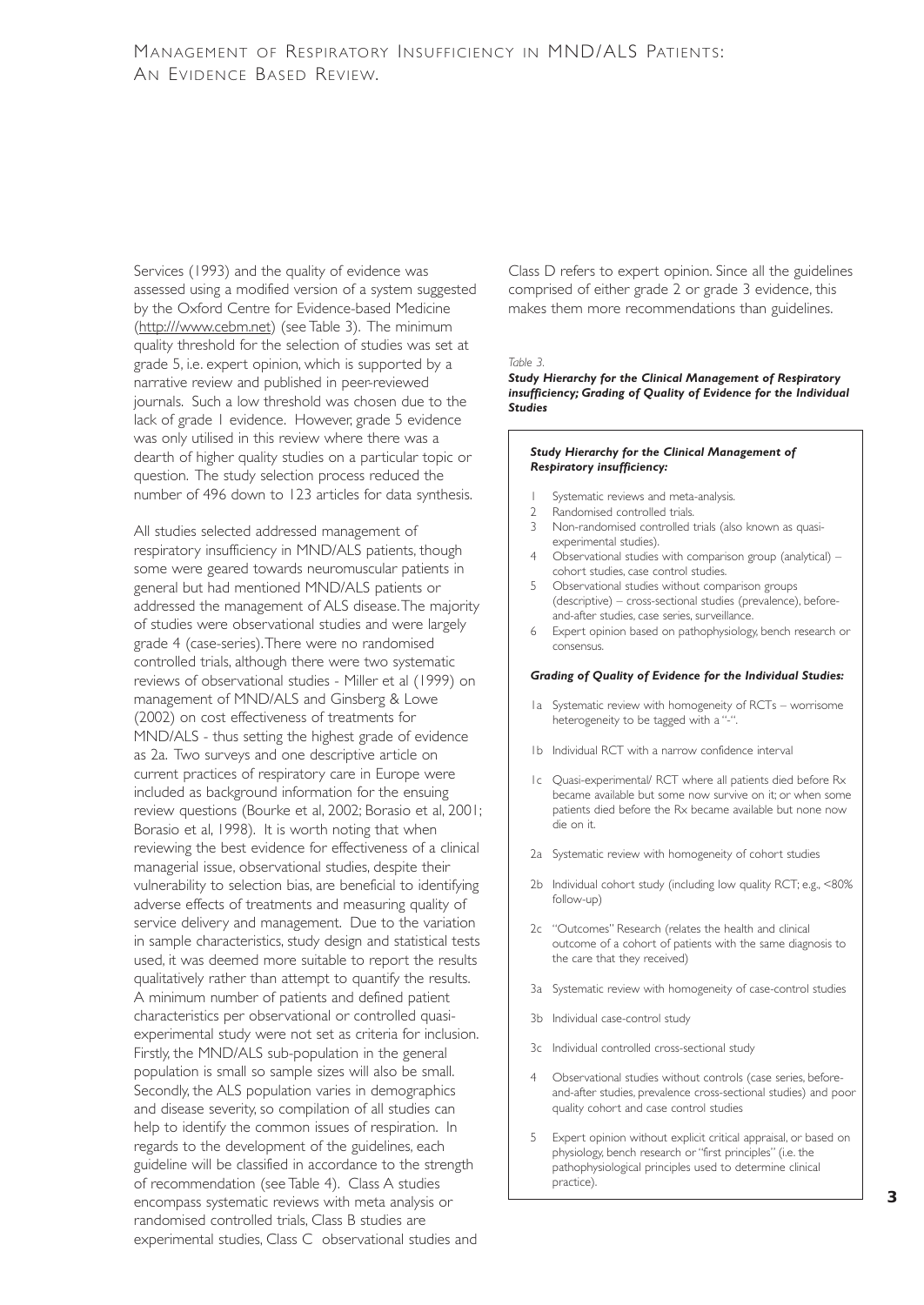Services (1993) and the quality of evidence was assessed using a modified version of a system suggested by the Oxford Centre for Evidence-based Medicine (http:///www.cebm.net) (see Table 3). The minimum quality threshold for the selection of studies was set at grade 5, i.e. expert opinion, which is supported by a narrative review and published in peer-reviewed journals. Such a low threshold was chosen due to the lack of grade 1 evidence. However, grade 5 evidence was only utilised in this review where there was a dearth of higher quality studies on a particular topic or question. The study selection process reduced the number of 496 down to 123 articles for data synthesis.

All studies selected addressed management of respiratory insufficiency in MND/ALS patients, though some were geared towards neuromuscular patients in general but had mentioned MND/ALS patients or addressed the management of ALS disease.The majority of studies were observational studies and were largely grade 4 (case-series).There were no randomised controlled trials, although there were two systematic reviews of observational studies - Miller et al (1999) on management of MND/ALS and Ginsberg & Lowe (2002) on cost effectiveness of treatments for MND/ALS - thus setting the highest grade of evidence as 2a. Two surveys and one descriptive article on current practices of respiratory care in Europe were included as background information for the ensuing review questions (Bourke et al, 2002; Borasio et al, 2001; Borasio et al, 1998). It is worth noting that when reviewing the best evidence for effectiveness of a clinical managerial issue, observational studies, despite their vulnerability to selection bias, are beneficial to identifying adverse effects of treatments and measuring quality of service delivery and management. Due to the variation in sample characteristics, study design and statistical tests used, it was deemed more suitable to report the results qualitatively rather than attempt to quantify the results. A minimum number of patients and defined patient characteristics per observational or controlled quasiexperimental study were not set as criteria for inclusion. Firstly, the MND/ALS sub-population in the general population is small so sample sizes will also be small. Secondly, the ALS population varies in demographics and disease severity, so compilation of all studies can help to identify the common issues of respiration. In regards to the development of the guidelines, each guideline will be classified in accordance to the strength of recommendation (see Table 4). Class A studies encompass systematic reviews with meta analysis or randomised controlled trials, Class B studies are experimental studies, Class C observational studies and

Class D refers to expert opinion. Since all the guidelines comprised of either grade 2 or grade 3 evidence, this makes them more recommendations than guidelines.

#### *Table 3.*

#### *Study Hierarchy for the Clinical Management of Respiratory insufficiency; Grading of Quality of Evidence for the Individual Studies*

#### *Study Hierarchy for the Clinical Management of Respiratory insufficiency:*

- 1 Systematic reviews and meta-analysis.<br>2 Randomised controlled trials
- Randomised controlled trials.
- 3 Non-randomised controlled trials (also known as quasiexperimental studies).
- 4 Observational studies with comparison group (analytical) cohort studies, case control studies.
- 5 Observational studies without comparison groups (descriptive) – cross-sectional studies (prevalence), beforeand-after studies, case series, surveillance.
- 6 Expert opinion based on pathophysiology, bench research or consensus.

#### *Grading of Quality of Evidence for the Individual Studies:*

- 1a Systematic review with homogeneity of RCTs worrisome heterogeneity to be tagged with a "-".
- 1b Individual RCT with a narrow confidence interval
- 1c Quasi-experimental/ RCT where all patients died before Rx became available but some now survive on it; or when some patients died before the Rx became available but none now die on it.
- 2a Systematic review with homogeneity of cohort studies
- 2b Individual cohort study (including low quality RCT; e.g., <80% follow-up)
- 2c "Outcomes" Research (relates the health and clinical outcome of a cohort of patients with the same diagnosis to the care that they received)
- 3a Systematic review with homogeneity of case-control studies
- 3b Individual case-control study
- 3c Individual controlled cross-sectional study
- 4 Observational studies without controls (case series, beforeand-after studies, prevalence cross-sectional studies) and poor quality cohort and case control studies
- 5 Expert opinion without explicit critical appraisal, or based on physiology, bench research or "first principles" (i.e. the pathophysiological principles used to determine clinical practice).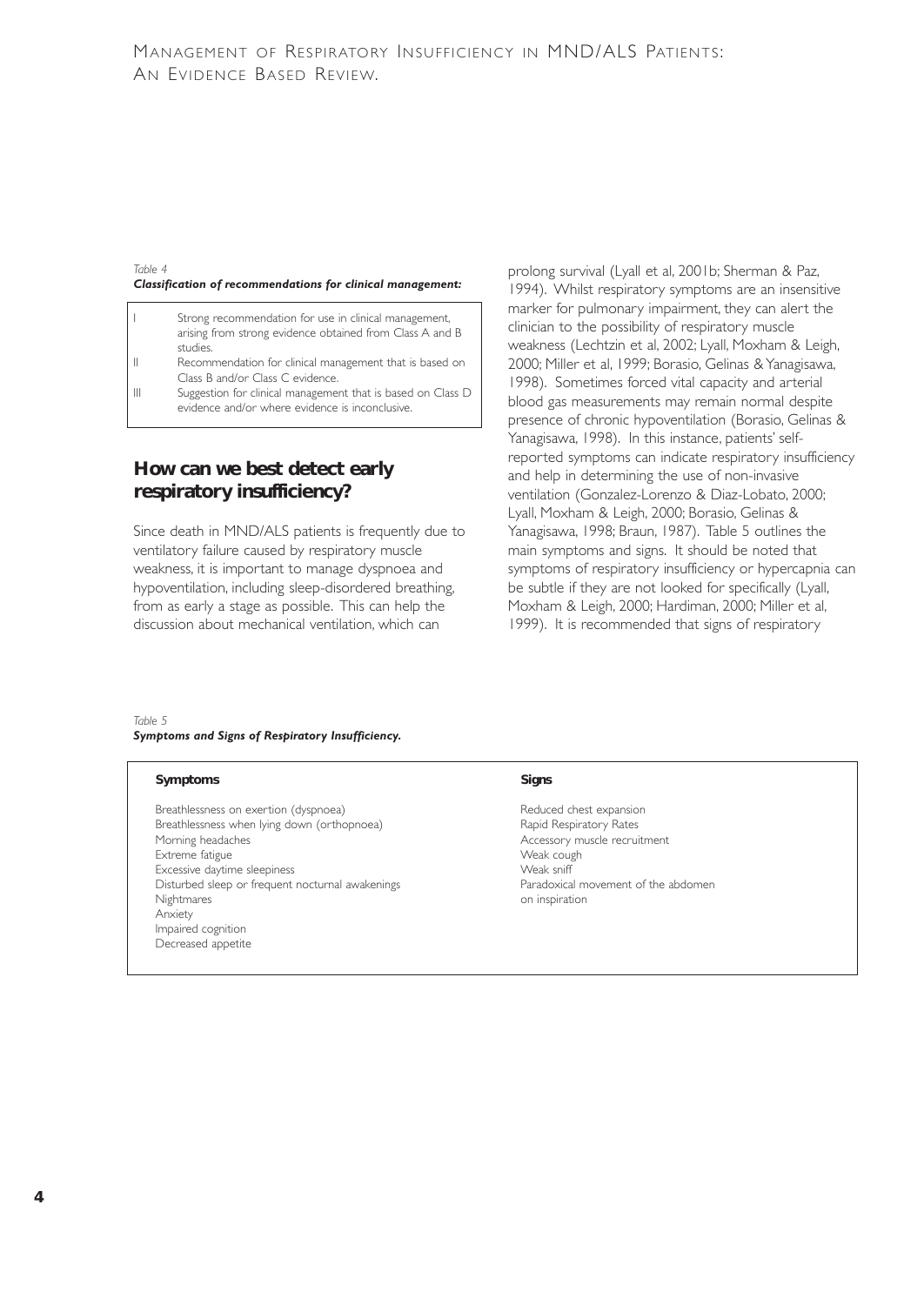#### *Table 4 Classification of recommendations for clinical management:*

- Strong recommendation for use in clinical management, arising from strong evidence obtained from Class A and B studies.
- II Recommendation for clinical management that is based on Class B and/or Class C evidence.
- III Suggestion for clinical management that is based on Class D evidence and/or where evidence is inconclusive.

## **How can we best detect early respiratory insufficiency?**

Since death in MND/ALS patients is frequently due to ventilatory failure caused by respiratory muscle weakness, it is important to manage dyspnoea and hypoventilation, including sleep-disordered breathing, from as early a stage as possible. This can help the discussion about mechanical ventilation, which can

prolong survival (Lyall et al, 2001b; Sherman & Paz, 1994). Whilst respiratory symptoms are an insensitive marker for pulmonary impairment, they can alert the clinician to the possibility of respiratory muscle weakness (Lechtzin et al, 2002; Lyall, Moxham & Leigh, 2000; Miller et al, 1999; Borasio, Gelinas & Yanagisawa, 1998). Sometimes forced vital capacity and arterial blood gas measurements may remain normal despite presence of chronic hypoventilation (Borasio, Gelinas & Yanagisawa, 1998). In this instance, patients' selfreported symptoms can indicate respiratory insufficiency and help in determining the use of non-invasive ventilation (Gonzalez-Lorenzo & Diaz-Lobato, 2000; Lyall, Moxham & Leigh, 2000; Borasio, Gelinas & Yanagisawa, 1998; Braun, 1987). Table 5 outlines the main symptoms and signs. It should be noted that symptoms of respiratory insufficiency or hypercapnia can be subtle if they are not looked for specifically (Lyall, Moxham & Leigh, 2000; Hardiman, 2000; Miller et al, 1999). It is recommended that signs of respiratory

*Table 5 Symptoms and Signs of Respiratory Insufficiency.*

#### **Symptoms** Signs

Breathlessness on exertion (dyspnoea) and the second reduced chest expansion Breathlessness when lying down (orthopnoea) Rapid Respiratory Rates Morning headaches and the matrix of the Morning headaches and the matrix of the Measure of Accessory muscle recruitment<br>Accessory muscle recruitment Extreme fatigue Weak cought and the seedings of the Meak cought and the Weak cought are the Weak shift and the E<br>Excessive daytime sleepiness and the Meak shift and the Weak shift and the Meak shift and the Meak shift and Excessive daytime sleepiness<br>
Disturbed sleep or frequent nocturnal awakenings<br>
Disturbed sleep or frequent nocturnal awakenings<br>
Maradoxical movement of the abdomen Disturbed sleep or frequent nocturnal awakenings Nightmares on inspiration Anxiety Impaired cognition Decreased appetite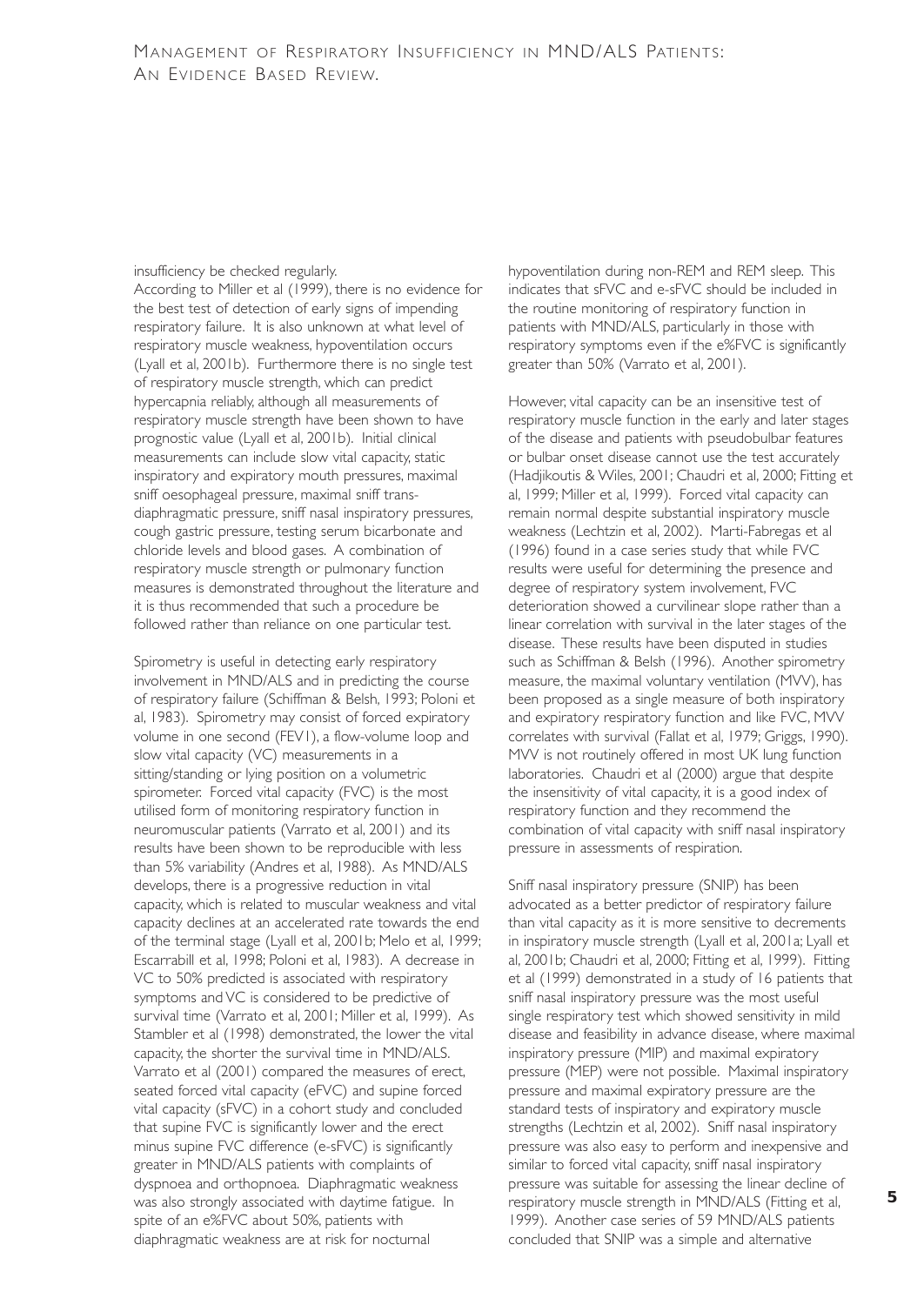#### insufficiency be checked regularly.

According to Miller et al (1999), there is no evidence for the best test of detection of early signs of impending respiratory failure. It is also unknown at what level of respiratory muscle weakness, hypoventilation occurs (Lyall et al, 2001b). Furthermore there is no single test of respiratory muscle strength, which can predict hypercapnia reliably, although all measurements of respiratory muscle strength have been shown to have prognostic value (Lyall et al, 2001b). Initial clinical measurements can include slow vital capacity, static inspiratory and expiratory mouth pressures, maximal sniff oesophageal pressure, maximal sniff transdiaphragmatic pressure, sniff nasal inspiratory pressures, cough gastric pressure, testing serum bicarbonate and chloride levels and blood gases. A combination of respiratory muscle strength or pulmonary function measures is demonstrated throughout the literature and it is thus recommended that such a procedure be followed rather than reliance on one particular test.

Spirometry is useful in detecting early respiratory involvement in MND/ALS and in predicting the course of respiratory failure (Schiffman & Belsh, 1993; Poloni et al, 1983). Spirometry may consist of forced expiratory volume in one second (FEV1), a flow-volume loop and slow vital capacity (VC) measurements in a sitting/standing or lying position on a volumetric spirometer. Forced vital capacity (FVC) is the most utilised form of monitoring respiratory function in neuromuscular patients (Varrato et al, 2001) and its results have been shown to be reproducible with less than 5% variability (Andres et al, 1988). As MND/ALS develops, there is a progressive reduction in vital capacity, which is related to muscular weakness and vital capacity declines at an accelerated rate towards the end of the terminal stage (Lyall et al, 2001b; Melo et al, 1999; Escarrabill et al, 1998; Poloni et al, 1983). A decrease in VC to 50% predicted is associated with respiratory symptoms and VC is considered to be predictive of survival time (Varrato et al, 2001; Miller et al, 1999). As Stambler et al (1998) demonstrated, the lower the vital capacity, the shorter the survival time in MND/ALS. Varrato et al (2001) compared the measures of erect, seated forced vital capacity (eFVC) and supine forced vital capacity (sFVC) in a cohort study and concluded that supine FVC is significantly lower and the erect minus supine FVC difference (e-sFVC) is significantly greater in MND/ALS patients with complaints of dyspnoea and orthopnoea. Diaphragmatic weakness was also strongly associated with daytime fatigue. In spite of an e%FVC about 50%, patients with diaphragmatic weakness are at risk for nocturnal

hypoventilation during non-REM and REM sleep. This indicates that sFVC and e-sFVC should be included in the routine monitoring of respiratory function in patients with MND/ALS, particularly in those with respiratory symptoms even if the e%FVC is significantly greater than 50% (Varrato et al, 2001).

However, vital capacity can be an insensitive test of respiratory muscle function in the early and later stages of the disease and patients with pseudobulbar features or bulbar onset disease cannot use the test accurately (Hadjikoutis & Wiles, 2001; Chaudri et al, 2000; Fitting et al, 1999; Miller et al, 1999). Forced vital capacity can remain normal despite substantial inspiratory muscle weakness (Lechtzin et al, 2002). Marti-Fabregas et al (1996) found in a case series study that while FVC results were useful for determining the presence and degree of respiratory system involvement, FVC deterioration showed a curvilinear slope rather than a linear correlation with survival in the later stages of the disease. These results have been disputed in studies such as Schiffman & Belsh (1996). Another spirometry measure, the maximal voluntary ventilation (MVV), has been proposed as a single measure of both inspiratory and expiratory respiratory function and like FVC, MVV correlates with survival (Fallat et al, 1979; Griggs, 1990). MVV is not routinely offered in most UK lung function laboratories. Chaudri et al (2000) argue that despite the insensitivity of vital capacity, it is a good index of respiratory function and they recommend the combination of vital capacity with sniff nasal inspiratory pressure in assessments of respiration.

Sniff nasal inspiratory pressure (SNIP) has been advocated as a better predictor of respiratory failure than vital capacity as it is more sensitive to decrements in inspiratory muscle strength (Lyall et al, 2001a; Lyall et al, 2001b; Chaudri et al, 2000; Fitting et al, 1999). Fitting et al (1999) demonstrated in a study of 16 patients that sniff nasal inspiratory pressure was the most useful single respiratory test which showed sensitivity in mild disease and feasibility in advance disease, where maximal inspiratory pressure (MIP) and maximal expiratory pressure (MEP) were not possible. Maximal inspiratory pressure and maximal expiratory pressure are the standard tests of inspiratory and expiratory muscle strengths (Lechtzin et al, 2002). Sniff nasal inspiratory pressure was also easy to perform and inexpensive and similar to forced vital capacity, sniff nasal inspiratory pressure was suitable for assessing the linear decline of respiratory muscle strength in MND/ALS (Fitting et al, 1999). Another case series of 59 MND/ALS patients concluded that SNIP was a simple and alternative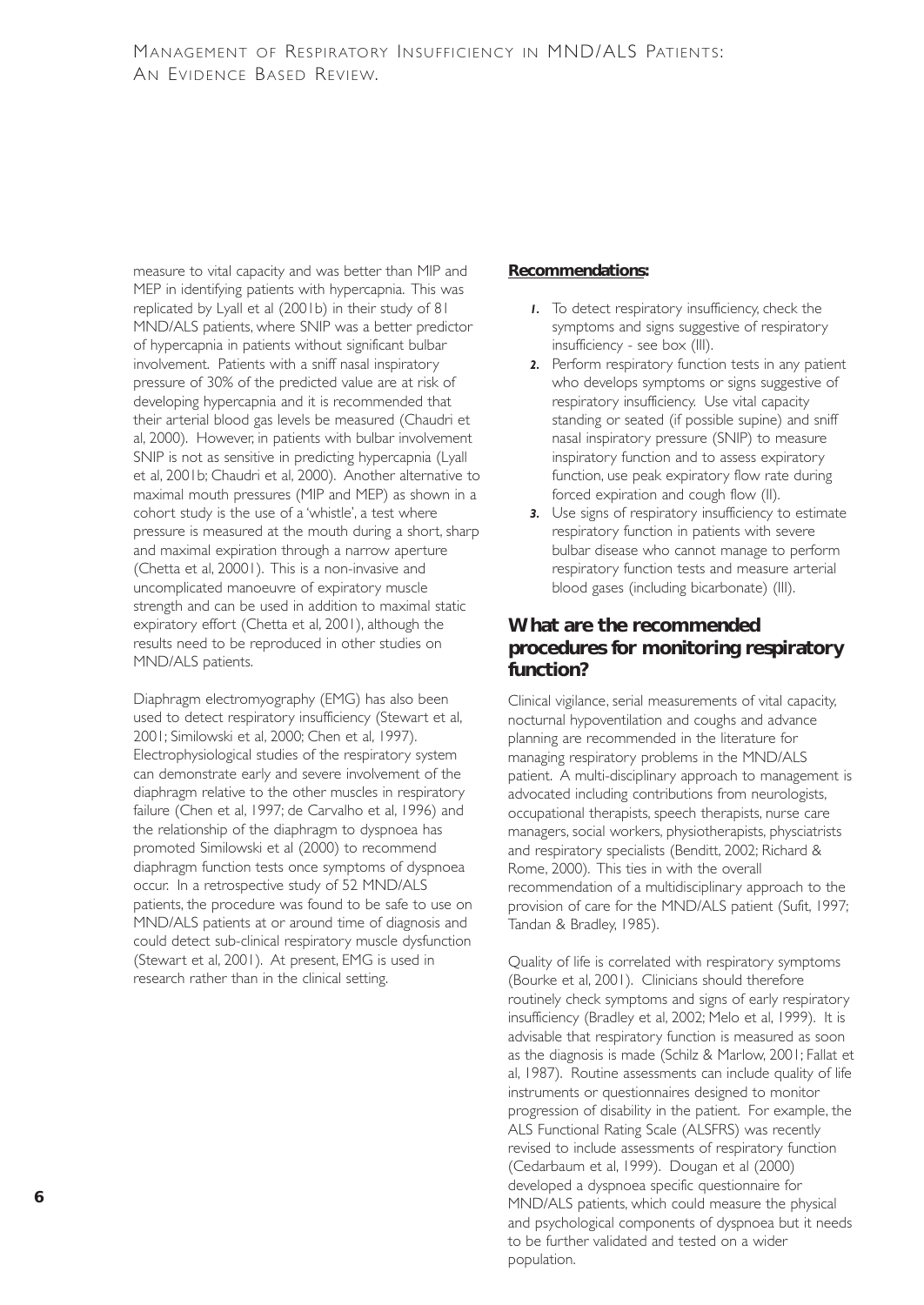measure to vital capacity and was better than MIP and MEP in identifying patients with hypercapnia. This was replicated by Lyall et al (2001b) in their study of 81 MND/ALS patients, where SNIP was a better predictor of hypercapnia in patients without significant bulbar involvement. Patients with a sniff nasal inspiratory pressure of 30% of the predicted value are at risk of developing hypercapnia and it is recommended that their arterial blood gas levels be measured (Chaudri et al, 2000). However, in patients with bulbar involvement SNIP is not as sensitive in predicting hypercapnia (Lyall et al, 2001b; Chaudri et al, 2000). Another alternative to maximal mouth pressures (MIP and MEP) as shown in a cohort study is the use of a 'whistle', a test where pressure is measured at the mouth during a short, sharp and maximal expiration through a narrow aperture (Chetta et al, 20001). This is a non-invasive and uncomplicated manoeuvre of expiratory muscle strength and can be used in addition to maximal static expiratory effort (Chetta et al, 2001), although the results need to be reproduced in other studies on MND/ALS patients.

Diaphragm electromyography (EMG) has also been used to detect respiratory insufficiency (Stewart et al, 2001; Similowski et al, 2000; Chen et al, 1997). Electrophysiological studies of the respiratory system can demonstrate early and severe involvement of the diaphragm relative to the other muscles in respiratory failure (Chen et al, 1997; de Carvalho et al, 1996) and the relationship of the diaphragm to dyspnoea has promoted Similowski et al (2000) to recommend diaphragm function tests once symptoms of dyspnoea occur. In a retrospective study of 52 MND/ALS patients, the procedure was found to be safe to use on MND/ALS patients at or around time of diagnosis and could detect sub-clinical respiratory muscle dysfunction (Stewart et al, 2001). At present, EMG is used in research rather than in the clinical setting.

#### **Recommendations:**

- *1.* To detect respiratory insufficiency, check the symptoms and signs suggestive of respiratory insufficiency - see box (III).
- *2.* Perform respiratory function tests in any patient who develops symptoms or signs suggestive of respiratory insufficiency. Use vital capacity standing or seated (if possible supine) and sniff nasal inspiratory pressure (SNIP) to measure inspiratory function and to assess expiratory function, use peak expiratory flow rate during forced expiration and cough flow (II).
- *3.* Use signs of respiratory insufficiency to estimate respiratory function in patients with severe bulbar disease who cannot manage to perform respiratory function tests and measure arterial blood gases (including bicarbonate) (III).

## **What are the recommended procedures for monitoring respiratory function?**

Clinical vigilance, serial measurements of vital capacity, nocturnal hypoventilation and coughs and advance planning are recommended in the literature for managing respiratory problems in the MND/ALS patient. A multi-disciplinary approach to management is advocated including contributions from neurologists, occupational therapists, speech therapists, nurse care managers, social workers, physiotherapists, physciatrists and respiratory specialists (Benditt, 2002; Richard & Rome, 2000). This ties in with the overall recommendation of a multidisciplinary approach to the provision of care for the MND/ALS patient (Sufit, 1997; Tandan & Bradley, 1985).

Quality of life is correlated with respiratory symptoms (Bourke et al, 2001). Clinicians should therefore routinely check symptoms and signs of early respiratory insufficiency (Bradley et al, 2002; Melo et al, 1999). It is advisable that respiratory function is measured as soon as the diagnosis is made (Schilz & Marlow, 2001; Fallat et al, 1987). Routine assessments can include quality of life instruments or questionnaires designed to monitor progression of disability in the patient. For example, the ALS Functional Rating Scale (ALSFRS) was recently revised to include assessments of respiratory function (Cedarbaum et al, 1999). Dougan et al (2000) developed a dyspnoea specific questionnaire for MND/ALS patients, which could measure the physical and psychological components of dyspnoea but it needs to be further validated and tested on a wider population.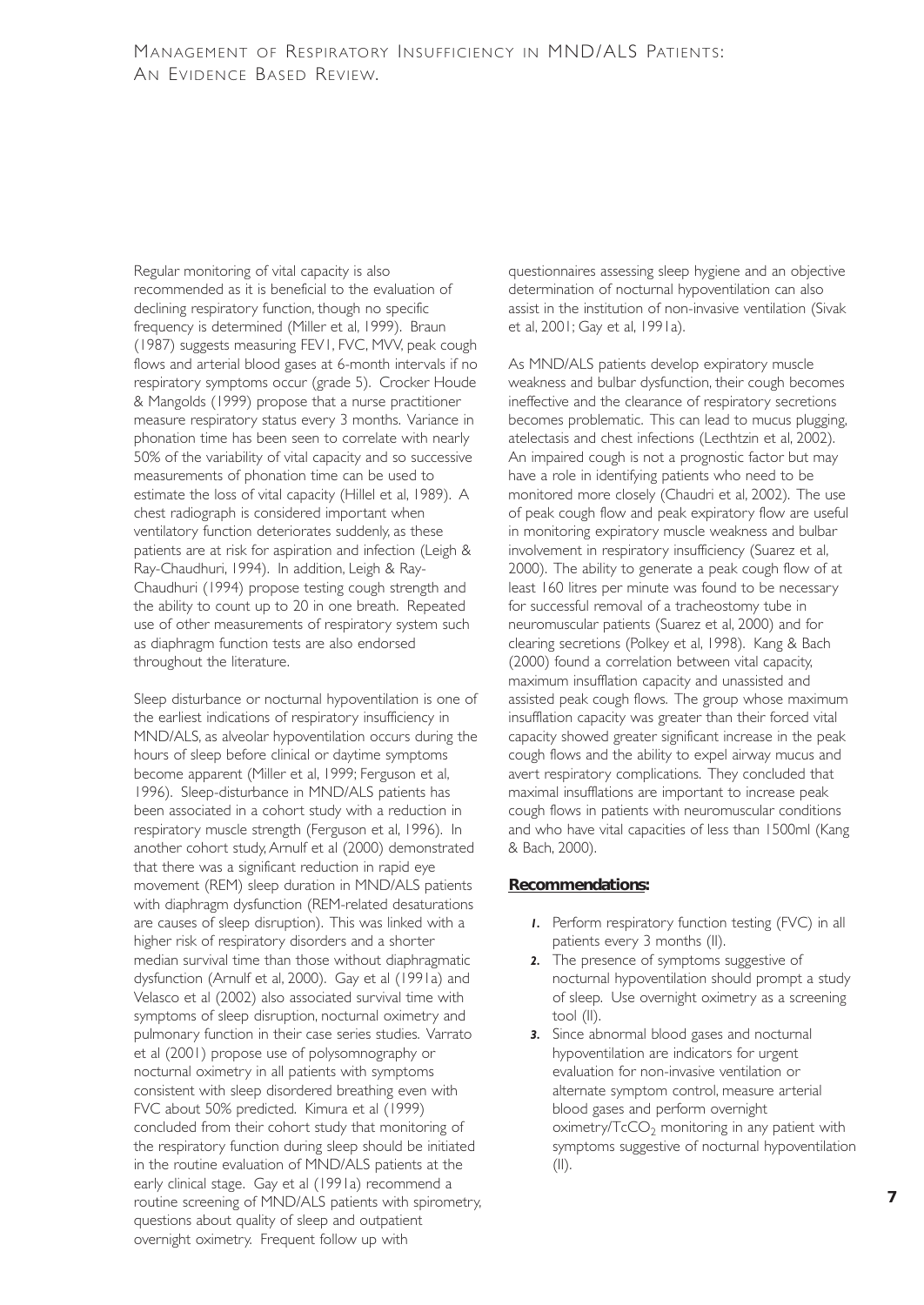Regular monitoring of vital capacity is also recommended as it is beneficial to the evaluation of declining respiratory function, though no specific frequency is determined (Miller et al, 1999). Braun (1987) suggests measuring FEV1, FVC, MVV, peak cough flows and arterial blood gases at 6-month intervals if no respiratory symptoms occur (grade 5). Crocker Houde & Mangolds (1999) propose that a nurse practitioner measure respiratory status every 3 months. Variance in phonation time has been seen to correlate with nearly 50% of the variability of vital capacity and so successive measurements of phonation time can be used to estimate the loss of vital capacity (Hillel et al, 1989). A chest radiograph is considered important when ventilatory function deteriorates suddenly, as these patients are at risk for aspiration and infection (Leigh & Ray-Chaudhuri, 1994). In addition, Leigh & Ray-Chaudhuri (1994) propose testing cough strength and the ability to count up to 20 in one breath. Repeated use of other measurements of respiratory system such as diaphragm function tests are also endorsed throughout the literature.

Sleep disturbance or nocturnal hypoventilation is one of the earliest indications of respiratory insufficiency in MND/ALS, as alveolar hypoventilation occurs during the hours of sleep before clinical or daytime symptoms become apparent (Miller et al, 1999; Ferguson et al, 1996). Sleep-disturbance in MND/ALS patients has been associated in a cohort study with a reduction in respiratory muscle strength (Ferguson et al, 1996). In another cohort study, Arnulf et al (2000) demonstrated that there was a significant reduction in rapid eye movement (REM) sleep duration in MND/ALS patients with diaphragm dysfunction (REM-related desaturations are causes of sleep disruption). This was linked with a higher risk of respiratory disorders and a shorter median survival time than those without diaphragmatic dysfunction (Arnulf et al, 2000). Gay et al (1991a) and Velasco et al (2002) also associated survival time with symptoms of sleep disruption, nocturnal oximetry and pulmonary function in their case series studies. Varrato et al (2001) propose use of polysomnography or nocturnal oximetry in all patients with symptoms consistent with sleep disordered breathing even with FVC about 50% predicted. Kimura et al (1999) concluded from their cohort study that monitoring of the respiratory function during sleep should be initiated in the routine evaluation of MND/ALS patients at the early clinical stage. Gay et al (1991a) recommend a routine screening of MND/ALS patients with spirometry, questions about quality of sleep and outpatient overnight oximetry. Frequent follow up with

questionnaires assessing sleep hygiene and an objective determination of nocturnal hypoventilation can also assist in the institution of non-invasive ventilation (Sivak et al, 2001; Gay et al, 1991a).

As MND/ALS patients develop expiratory muscle weakness and bulbar dysfunction, their cough becomes ineffective and the clearance of respiratory secretions becomes problematic. This can lead to mucus plugging, atelectasis and chest infections (Lecthtzin et al, 2002). An impaired cough is not a prognostic factor but may have a role in identifying patients who need to be monitored more closely (Chaudri et al, 2002). The use of peak cough flow and peak expiratory flow are useful in monitoring expiratory muscle weakness and bulbar involvement in respiratory insufficiency (Suarez et al, 2000). The ability to generate a peak cough flow of at least 160 litres per minute was found to be necessary for successful removal of a tracheostomy tube in neuromuscular patients (Suarez et al, 2000) and for clearing secretions (Polkey et al, 1998). Kang & Bach (2000) found a correlation between vital capacity, maximum insufflation capacity and unassisted and assisted peak cough flows. The group whose maximum insufflation capacity was greater than their forced vital capacity showed greater significant increase in the peak cough flows and the ability to expel airway mucus and avert respiratory complications. They concluded that maximal insufflations are important to increase peak cough flows in patients with neuromuscular conditions and who have vital capacities of less than 1500ml (Kang & Bach, 2000).

#### **Recommendations:**

- *1.* Perform respiratory function testing (FVC) in all patients every 3 months (II).
- *2.* The presence of symptoms suggestive of nocturnal hypoventilation should prompt a study of sleep. Use overnight oximetry as a screening tool (II).
- *3.* Since abnormal blood gases and nocturnal hypoventilation are indicators for urgent evaluation for non-invasive ventilation or alternate symptom control, measure arterial blood gases and perform overnight  $o$ ximetry/ $TcCO<sub>2</sub>$  monitoring in any patient with symptoms suggestive of nocturnal hypoventilation  $(||)$ .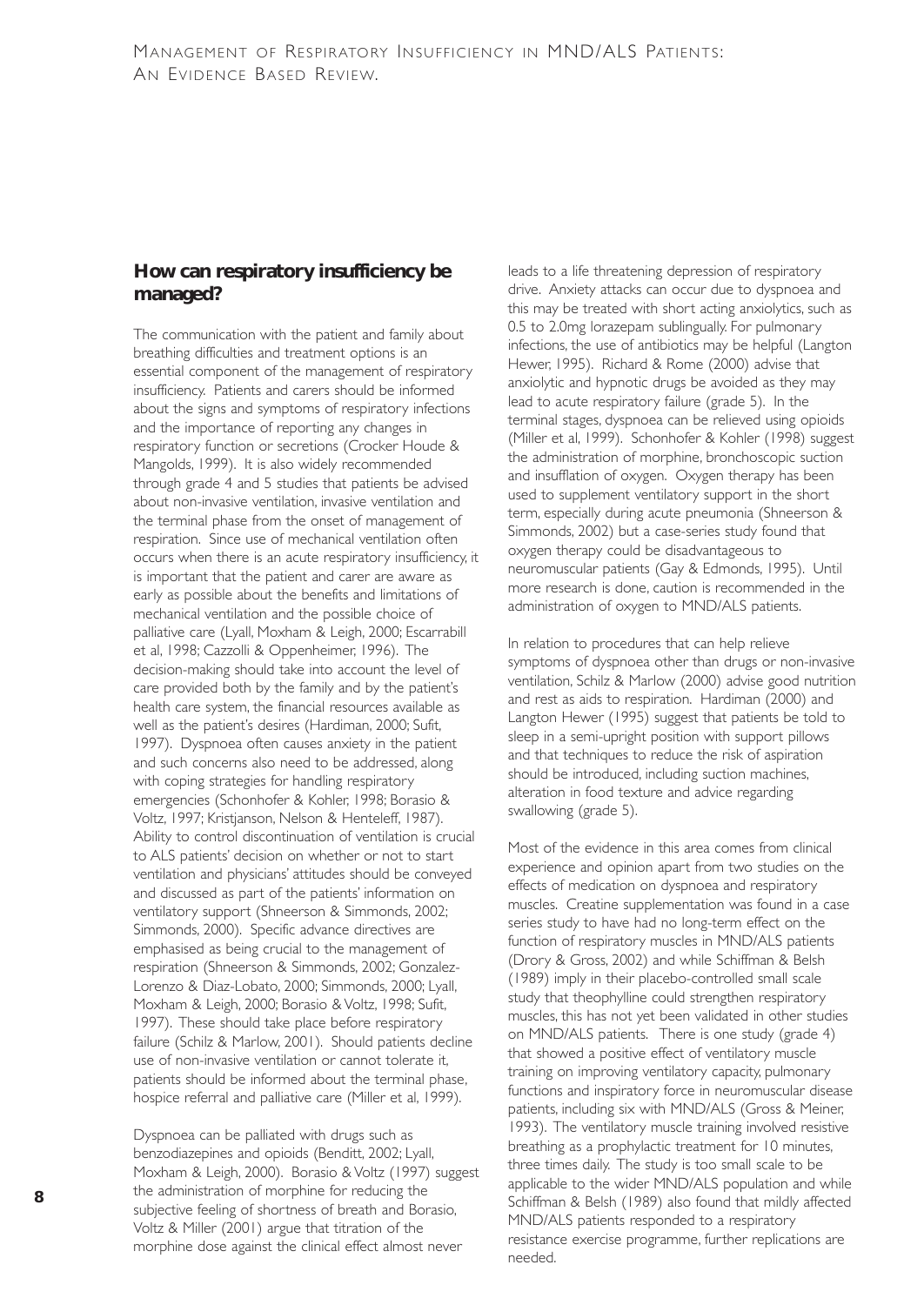## **How can respiratory insufficiency be managed?**

The communication with the patient and family about breathing difficulties and treatment options is an essential component of the management of respiratory insufficiency. Patients and carers should be informed about the signs and symptoms of respiratory infections and the importance of reporting any changes in respiratory function or secretions (Crocker Houde & Mangolds, 1999). It is also widely recommended through grade 4 and 5 studies that patients be advised about non-invasive ventilation, invasive ventilation and the terminal phase from the onset of management of respiration. Since use of mechanical ventilation often occurs when there is an acute respiratory insufficiency, it is important that the patient and carer are aware as early as possible about the benefits and limitations of mechanical ventilation and the possible choice of palliative care (Lyall, Moxham & Leigh, 2000; Escarrabill et al, 1998; Cazzolli & Oppenheimer, 1996). The decision-making should take into account the level of care provided both by the family and by the patient's health care system, the financial resources available as well as the patient's desires (Hardiman, 2000; Sufit, 1997). Dyspnoea often causes anxiety in the patient and such concerns also need to be addressed, along with coping strategies for handling respiratory emergencies (Schonhofer & Kohler, 1998; Borasio & Voltz, 1997; Kristjanson, Nelson & Henteleff, 1987). Ability to control discontinuation of ventilation is crucial to ALS patients' decision on whether or not to start ventilation and physicians' attitudes should be conveyed and discussed as part of the patients' information on ventilatory support (Shneerson & Simmonds, 2002; Simmonds, 2000). Specific advance directives are emphasised as being crucial to the management of respiration (Shneerson & Simmonds, 2002; Gonzalez-Lorenzo & Diaz-Lobato, 2000; Simmonds, 2000; Lyall, Moxham & Leigh, 2000; Borasio & Voltz, 1998; Sufit, 1997). These should take place before respiratory failure (Schilz & Marlow, 2001). Should patients decline use of non-invasive ventilation or cannot tolerate it, patients should be informed about the terminal phase, hospice referral and palliative care (Miller et al, 1999).

Dyspnoea can be palliated with drugs such as benzodiazepines and opioids (Benditt, 2002; Lyall, Moxham & Leigh, 2000). Borasio & Voltz (1997) suggest the administration of morphine for reducing the subjective feeling of shortness of breath and Borasio, Voltz & Miller (2001) argue that titration of the morphine dose against the clinical effect almost never

leads to a life threatening depression of respiratory drive. Anxiety attacks can occur due to dyspnoea and this may be treated with short acting anxiolytics, such as 0.5 to 2.0mg lorazepam sublingually. For pulmonary infections, the use of antibiotics may be helpful (Langton Hewer, 1995). Richard & Rome (2000) advise that anxiolytic and hypnotic drugs be avoided as they may lead to acute respiratory failure (grade 5). In the terminal stages, dyspnoea can be relieved using opioids (Miller et al, 1999). Schonhofer & Kohler (1998) suggest the administration of morphine, bronchoscopic suction and insufflation of oxygen. Oxygen therapy has been used to supplement ventilatory support in the short term, especially during acute pneumonia (Shneerson & Simmonds, 2002) but a case-series study found that oxygen therapy could be disadvantageous to neuromuscular patients (Gay & Edmonds, 1995). Until more research is done, caution is recommended in the administration of oxygen to MND/ALS patients.

In relation to procedures that can help relieve symptoms of dyspnoea other than drugs or non-invasive ventilation, Schilz & Marlow (2000) advise good nutrition and rest as aids to respiration. Hardiman (2000) and Langton Hewer (1995) suggest that patients be told to sleep in a semi-upright position with support pillows and that techniques to reduce the risk of aspiration should be introduced, including suction machines, alteration in food texture and advice regarding swallowing (grade 5).

Most of the evidence in this area comes from clinical experience and opinion apart from two studies on the effects of medication on dyspnoea and respiratory muscles. Creatine supplementation was found in a case series study to have had no long-term effect on the function of respiratory muscles in MND/ALS patients (Drory & Gross, 2002) and while Schiffman & Belsh (1989) imply in their placebo-controlled small scale study that theophylline could strengthen respiratory muscles, this has not yet been validated in other studies on MND/ALS patients. There is one study (grade 4) that showed a positive effect of ventilatory muscle training on improving ventilatory capacity, pulmonary functions and inspiratory force in neuromuscular disease patients, including six with MND/ALS (Gross & Meiner, 1993). The ventilatory muscle training involved resistive breathing as a prophylactic treatment for 10 minutes, three times daily. The study is too small scale to be applicable to the wider MND/ALS population and while Schiffman & Belsh (1989) also found that mildly affected MND/ALS patients responded to a respiratory resistance exercise programme, further replications are needed.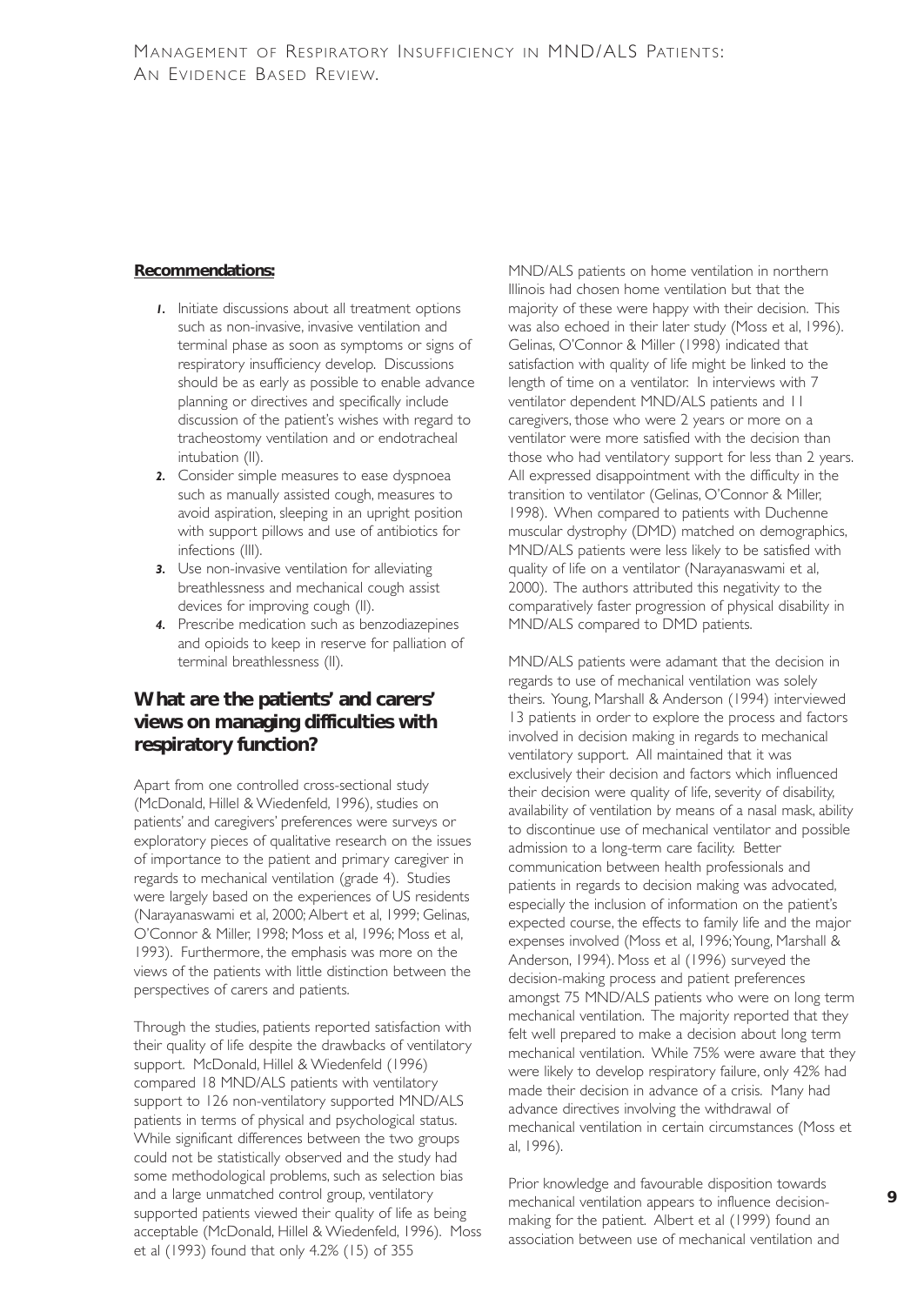#### **Recommendations:**

- *1.* Initiate discussions about all treatment options such as non-invasive, invasive ventilation and terminal phase as soon as symptoms or signs of respiratory insufficiency develop. Discussions should be as early as possible to enable advance planning or directives and specifically include discussion of the patient's wishes with regard to tracheostomy ventilation and or endotracheal intubation (II).
- *2.* Consider simple measures to ease dyspnoea such as manually assisted cough, measures to avoid aspiration, sleeping in an upright position with support pillows and use of antibiotics for infections (III).
- **3.** Use non-invasive ventilation for alleviating breathlessness and mechanical cough assist devices for improving cough (II).
- *4.* Prescribe medication such as benzodiazepines and opioids to keep in reserve for palliation of terminal breathlessness (II).

## **What are the patients' and carers' views on managing difficulties with respiratory function?**

Apart from one controlled cross-sectional study (McDonald, Hillel & Wiedenfeld, 1996), studies on patients' and caregivers' preferences were surveys or exploratory pieces of qualitative research on the issues of importance to the patient and primary caregiver in regards to mechanical ventilation (grade 4). Studies were largely based on the experiences of US residents (Narayanaswami et al, 2000; Albert et al, 1999; Gelinas, O'Connor & Miller, 1998; Moss et al, 1996; Moss et al, 1993). Furthermore, the emphasis was more on the views of the patients with little distinction between the perspectives of carers and patients.

Through the studies, patients reported satisfaction with their quality of life despite the drawbacks of ventilatory support. McDonald, Hillel & Wiedenfeld (1996) compared 18 MND/ALS patients with ventilatory support to 126 non-ventilatory supported MND/ALS patients in terms of physical and psychological status. While significant differences between the two groups could not be statistically observed and the study had some methodological problems, such as selection bias and a large unmatched control group, ventilatory supported patients viewed their quality of life as being acceptable (McDonald, Hillel & Wiedenfeld, 1996). Moss et al (1993) found that only 4.2% (15) of 355

MND/ALS patients on home ventilation in northern Illinois had chosen home ventilation but that the majority of these were happy with their decision. This was also echoed in their later study (Moss et al, 1996). Gelinas, O'Connor & Miller (1998) indicated that satisfaction with quality of life might be linked to the length of time on a ventilator. In interviews with 7 ventilator dependent MND/ALS patients and 11 caregivers, those who were 2 years or more on a ventilator were more satisfied with the decision than those who had ventilatory support for less than 2 years. All expressed disappointment with the difficulty in the transition to ventilator (Gelinas, O'Connor & Miller, 1998). When compared to patients with Duchenne muscular dystrophy (DMD) matched on demographics, MND/ALS patients were less likely to be satisfied with quality of life on a ventilator (Narayanaswami et al, 2000). The authors attributed this negativity to the comparatively faster progression of physical disability in MND/ALS compared to DMD patients.

MND/ALS patients were adamant that the decision in regards to use of mechanical ventilation was solely theirs. Young, Marshall & Anderson (1994) interviewed 13 patients in order to explore the process and factors involved in decision making in regards to mechanical ventilatory support. All maintained that it was exclusively their decision and factors which influenced their decision were quality of life, severity of disability, availability of ventilation by means of a nasal mask, ability to discontinue use of mechanical ventilator and possible admission to a long-term care facility. Better communication between health professionals and patients in regards to decision making was advocated, especially the inclusion of information on the patient's expected course, the effects to family life and the major expenses involved (Moss et al, 1996; Young, Marshall & Anderson, 1994). Moss et al (1996) surveyed the decision-making process and patient preferences amongst 75 MND/ALS patients who were on long term mechanical ventilation. The majority reported that they felt well prepared to make a decision about long term mechanical ventilation. While 75% were aware that they were likely to develop respiratory failure, only 42% had made their decision in advance of a crisis. Many had advance directives involving the withdrawal of mechanical ventilation in certain circumstances (Moss et al, 1996).

Prior knowledge and favourable disposition towards mechanical ventilation appears to influence decisionmaking for the patient. Albert et al (1999) found an association between use of mechanical ventilation and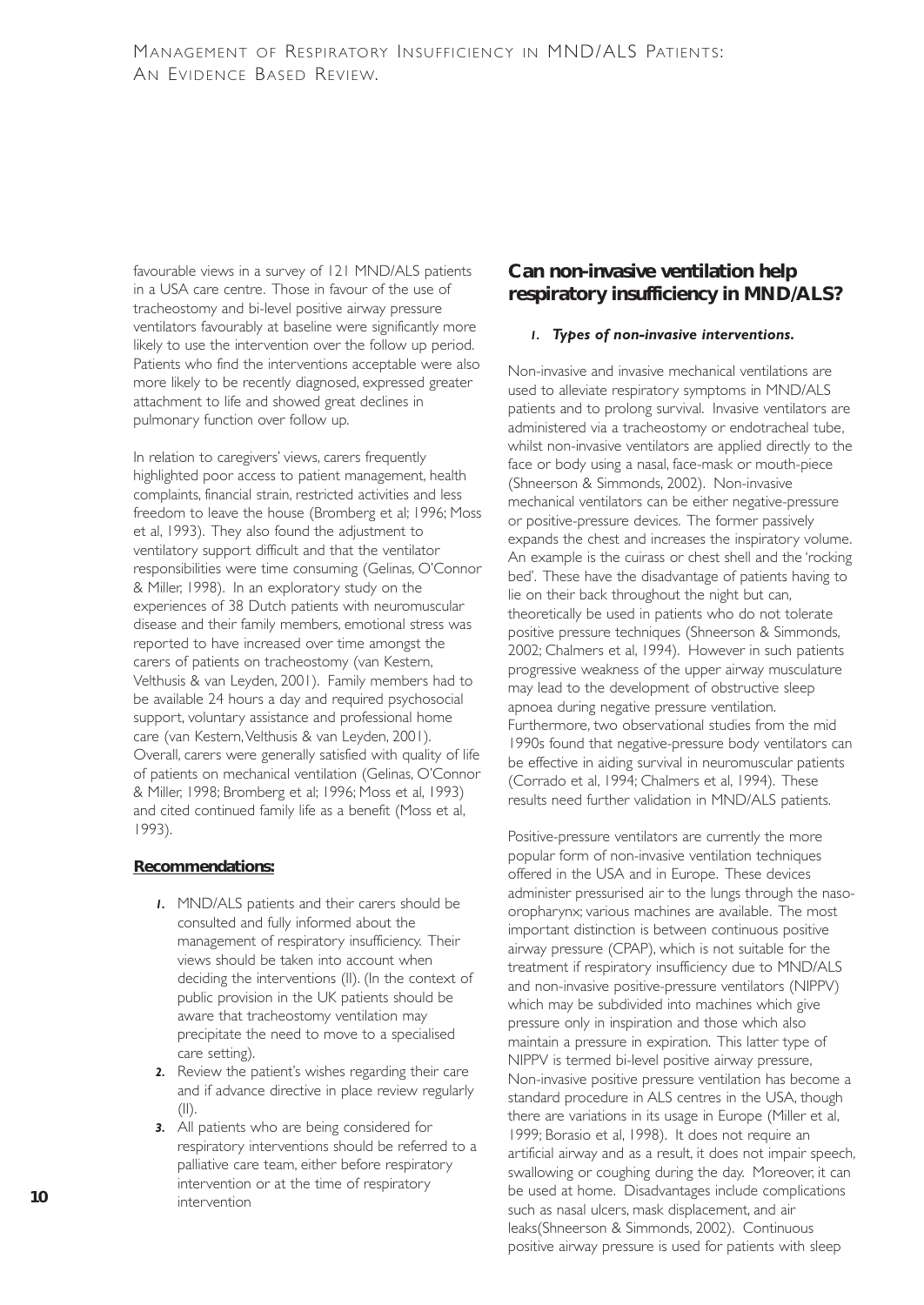favourable views in a survey of 121 MND/ALS patients in a USA care centre. Those in favour of the use of tracheostomy and bi-level positive airway pressure ventilators favourably at baseline were significantly more likely to use the intervention over the follow up period. Patients who find the interventions acceptable were also more likely to be recently diagnosed, expressed greater attachment to life and showed great declines in pulmonary function over follow up.

In relation to caregivers' views, carers frequently highlighted poor access to patient management, health complaints, financial strain, restricted activities and less freedom to leave the house (Bromberg et al; 1996; Moss et al, 1993). They also found the adjustment to ventilatory support difficult and that the ventilator responsibilities were time consuming (Gelinas, O'Connor & Miller, 1998). In an exploratory study on the experiences of 38 Dutch patients with neuromuscular disease and their family members, emotional stress was reported to have increased over time amongst the carers of patients on tracheostomy (van Kestern, Velthusis & van Leyden, 2001). Family members had to be available 24 hours a day and required psychosocial support, voluntary assistance and professional home care (van Kestern, Velthusis & van Leyden, 2001). Overall, carers were generally satisfied with quality of life of patients on mechanical ventilation (Gelinas, O'Connor & Miller, 1998; Bromberg et al; 1996; Moss et al, 1993) and cited continued family life as a benefit (Moss et al, 1993).

#### **Recommendations:**

- *1.* MND/ALS patients and their carers should be consulted and fully informed about the management of respiratory insufficiency. Their views should be taken into account when deciding the interventions (II). (In the context of public provision in the UK patients should be aware that tracheostomy ventilation may precipitate the need to move to a specialised care setting).
- *2.* Review the patient's wishes regarding their care and if advance directive in place review regularly  $(1)$ .
- *3.* All patients who are being considered for respiratory interventions should be referred to a palliative care team, either before respiratory intervention or at the time of respiratory intervention

## **Can non-invasive ventilation help respiratory insufficiency in MND/ALS?**

#### *1. Types of non-invasive interventions.*

Non-invasive and invasive mechanical ventilations are used to alleviate respiratory symptoms in MND/ALS patients and to prolong survival. Invasive ventilators are administered via a tracheostomy or endotracheal tube, whilst non-invasive ventilators are applied directly to the face or body using a nasal, face-mask or mouth-piece (Shneerson & Simmonds, 2002). Non-invasive mechanical ventilators can be either negative-pressure or positive-pressure devices. The former passively expands the chest and increases the inspiratory volume. An example is the cuirass or chest shell and the 'rocking bed'. These have the disadvantage of patients having to lie on their back throughout the night but can, theoretically be used in patients who do not tolerate positive pressure techniques (Shneerson & Simmonds, 2002; Chalmers et al, 1994). However in such patients progressive weakness of the upper airway musculature may lead to the development of obstructive sleep apnoea during negative pressure ventilation. Furthermore, two observational studies from the mid 1990s found that negative-pressure body ventilators can be effective in aiding survival in neuromuscular patients (Corrado et al, 1994; Chalmers et al, 1994). These results need further validation in MND/ALS patients.

Positive-pressure ventilators are currently the more popular form of non-invasive ventilation techniques offered in the USA and in Europe. These devices administer pressurised air to the lungs through the nasooropharynx; various machines are available. The most important distinction is between continuous positive airway pressure (CPAP), which is not suitable for the treatment if respiratory insufficiency due to MND/ALS and non-invasive positive-pressure ventilators (NIPPV) which may be subdivided into machines which give pressure only in inspiration and those which also maintain a pressure in expiration. This latter type of NIPPV is termed bi-level positive airway pressure, Non-invasive positive pressure ventilation has become a standard procedure in ALS centres in the USA, though there are variations in its usage in Europe (Miller et al, 1999; Borasio et al, 1998). It does not require an artificial airway and as a result, it does not impair speech, swallowing or coughing during the day. Moreover, it can be used at home. Disadvantages include complications such as nasal ulcers, mask displacement, and air leaks(Shneerson & Simmonds, 2002). Continuous positive airway pressure is used for patients with sleep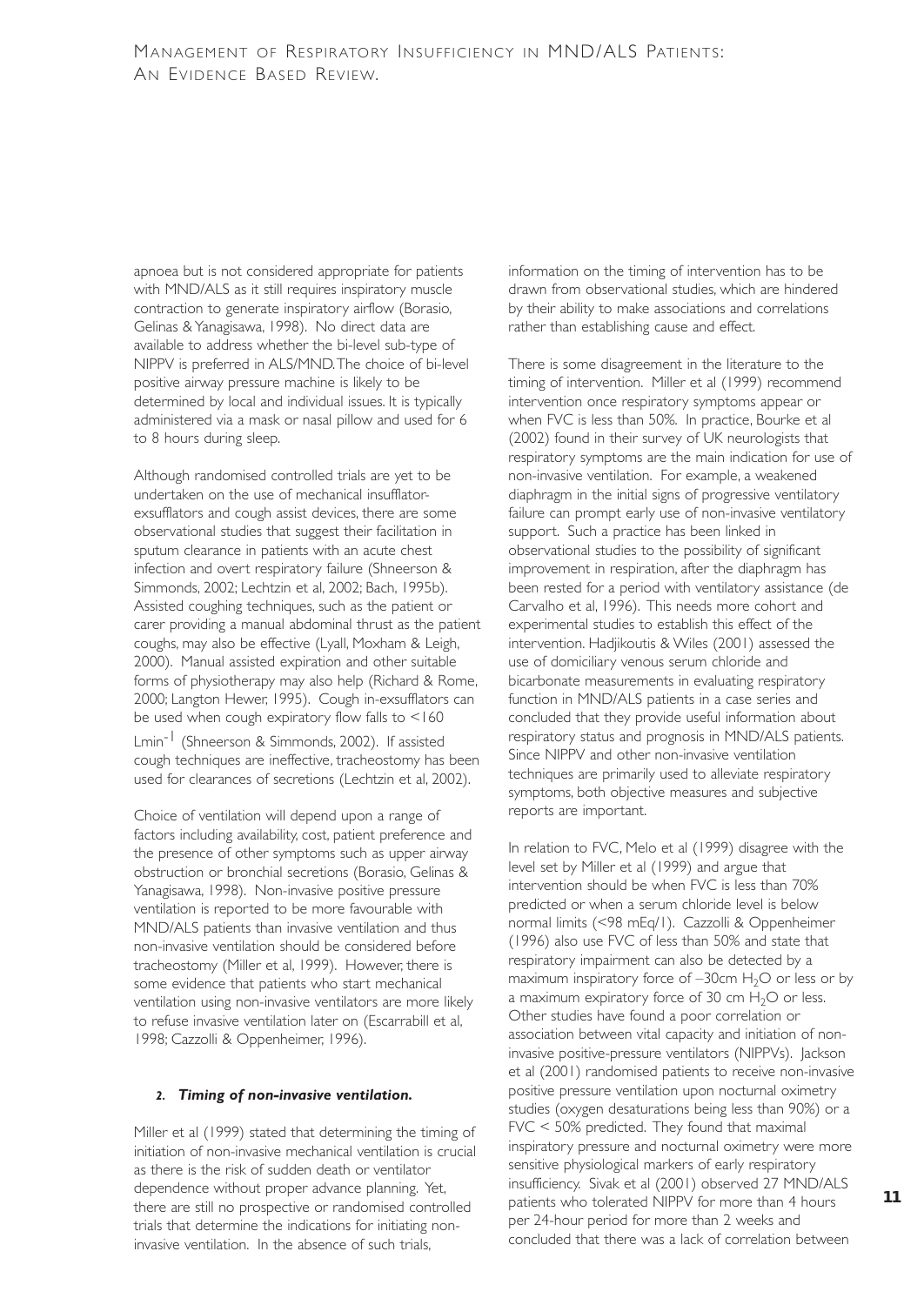apnoea but is not considered appropriate for patients with MND/ALS as it still requires inspiratory muscle contraction to generate inspiratory airflow (Borasio, Gelinas & Yanagisawa, 1998). No direct data are available to address whether the bi-level sub-type of NIPPV is preferred in ALS/MND.The choice of bi-level positive airway pressure machine is likely to be determined by local and individual issues. It is typically administered via a mask or nasal pillow and used for 6 to 8 hours during sleep.

Although randomised controlled trials are yet to be undertaken on the use of mechanical insufflatorexsufflators and cough assist devices, there are some observational studies that suggest their facilitation in sputum clearance in patients with an acute chest infection and overt respiratory failure (Shneerson & Simmonds, 2002; Lechtzin et al, 2002; Bach, 1995b). Assisted coughing techniques, such as the patient or carer providing a manual abdominal thrust as the patient coughs, may also be effective (Lyall, Moxham & Leigh, 2000). Manual assisted expiration and other suitable forms of physiotherapy may also help (Richard & Rome, 2000; Langton Hewer, 1995). Cough in-exsufflators can be used when cough expiratory flow falls to <160 Lmin<sup>-1</sup> (Shneerson & Simmonds, 2002). If assisted cough techniques are ineffective, tracheostomy has been used for clearances of secretions (Lechtzin et al, 2002).

Choice of ventilation will depend upon a range of factors including availability, cost, patient preference and the presence of other symptoms such as upper airway obstruction or bronchial secretions (Borasio, Gelinas & Yanagisawa, 1998). Non-invasive positive pressure ventilation is reported to be more favourable with MND/ALS patients than invasive ventilation and thus non-invasive ventilation should be considered before tracheostomy (Miller et al, 1999). However, there is some evidence that patients who start mechanical ventilation using non-invasive ventilators are more likely to refuse invasive ventilation later on (Escarrabill et al, 1998; Cazzolli & Oppenheimer, 1996).

#### *2. Timing of non-invasive ventilation.*

Miller et al (1999) stated that determining the timing of initiation of non-invasive mechanical ventilation is crucial as there is the risk of sudden death or ventilator dependence without proper advance planning. Yet, there are still no prospective or randomised controlled trials that determine the indications for initiating noninvasive ventilation. In the absence of such trials,

information on the timing of intervention has to be drawn from observational studies, which are hindered by their ability to make associations and correlations rather than establishing cause and effect.

There is some disagreement in the literature to the timing of intervention. Miller et al (1999) recommend intervention once respiratory symptoms appear or when FVC is less than 50%. In practice, Bourke et al (2002) found in their survey of UK neurologists that respiratory symptoms are the main indication for use of non-invasive ventilation. For example, a weakened diaphragm in the initial signs of progressive ventilatory failure can prompt early use of non-invasive ventilatory support. Such a practice has been linked in observational studies to the possibility of significant improvement in respiration, after the diaphragm has been rested for a period with ventilatory assistance (de Carvalho et al, 1996). This needs more cohort and experimental studies to establish this effect of the intervention. Hadjikoutis & Wiles (2001) assessed the use of domiciliary venous serum chloride and bicarbonate measurements in evaluating respiratory function in MND/ALS patients in a case series and concluded that they provide useful information about respiratory status and prognosis in MND/ALS patients. Since NIPPV and other non-invasive ventilation techniques are primarily used to alleviate respiratory symptoms, both objective measures and subjective reports are important.

In relation to FVC, Melo et al (1999) disagree with the level set by Miller et al (1999) and argue that intervention should be when FVC is less than 70% predicted or when a serum chloride level is below normal limits (<98 mEq/1). Cazzolli & Oppenheimer (1996) also use FVC of less than 50% and state that respiratory impairment can also be detected by a maximum inspiratory force of  $-30$ cm  $H_2O$  or less or by a maximum expiratory force of 30 cm  $H_2O$  or less. Other studies have found a poor correlation or association between vital capacity and initiation of noninvasive positive-pressure ventilators (NIPPVs). Jackson et al (2001) randomised patients to receive non-invasive positive pressure ventilation upon nocturnal oximetry studies (oxygen desaturations being less than 90%) or a FVC < 50% predicted. They found that maximal inspiratory pressure and nocturnal oximetry were more sensitive physiological markers of early respiratory insufficiency. Sivak et al (2001) observed 27 MND/ALS patients who tolerated NIPPV for more than 4 hours per 24-hour period for more than 2 weeks and concluded that there was a lack of correlation between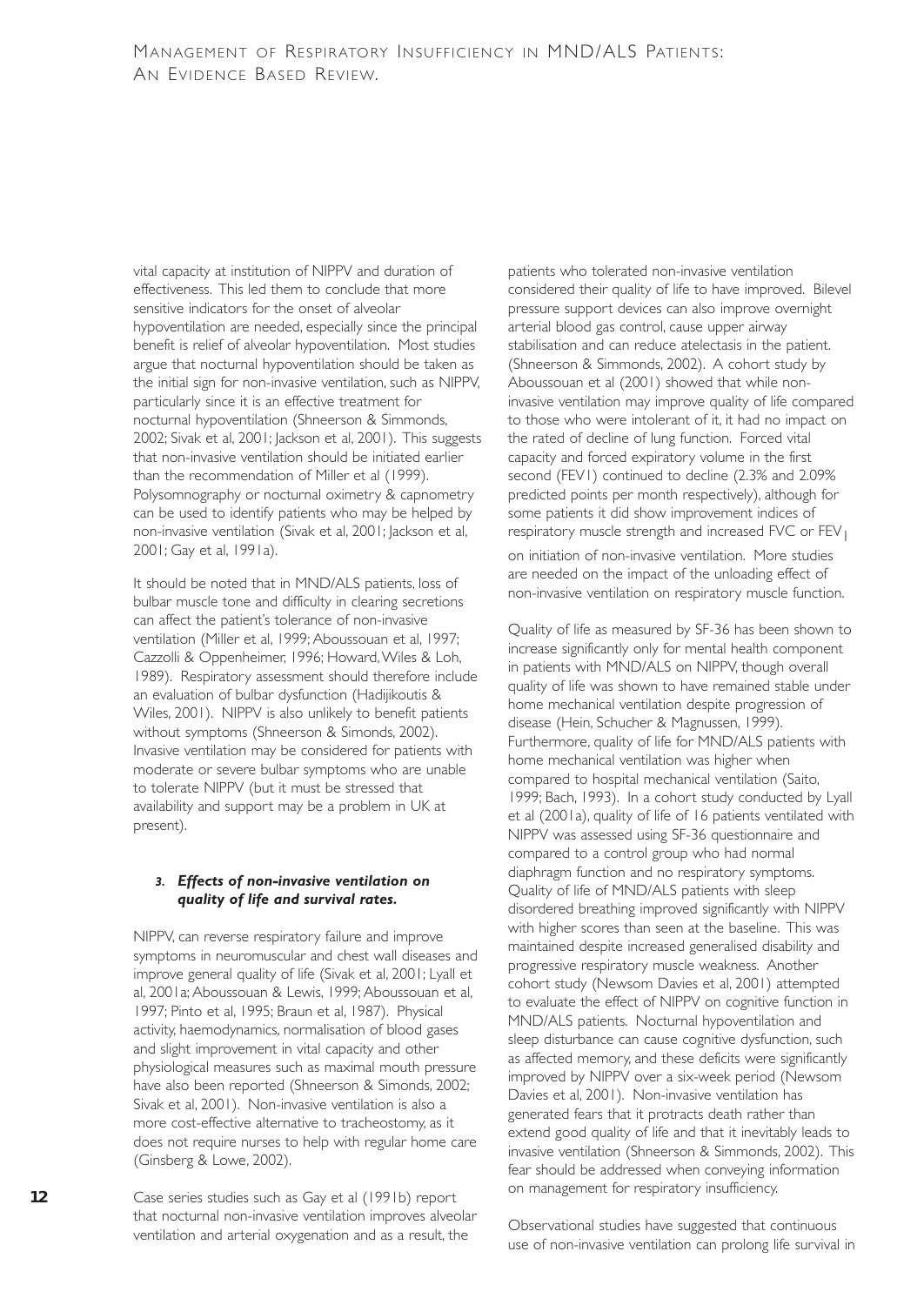vital capacity at institution of NIPPV and duration of effectiveness. This led them to conclude that more sensitive indicators for the onset of alveolar hypoventilation are needed, especially since the principal benefit is relief of alveolar hypoventilation. Most studies argue that nocturnal hypoventilation should be taken as the initial sign for non-invasive ventilation, such as NIPPV, particularly since it is an effective treatment for nocturnal hypoventilation (Shneerson & Simmonds, 2002; Sivak et al, 2001; Jackson et al, 2001). This suggests that non-invasive ventilation should be initiated earlier than the recommendation of Miller et al (1999). Polysomnography or nocturnal oximetry & capnometry can be used to identify patients who may be helped by non-invasive ventilation (Sivak et al, 2001; Jackson et al, 2001; Gay et al, 1991a).

It should be noted that in MND/ALS patients, loss of bulbar muscle tone and difficulty in clearing secretions can affect the patient's tolerance of non-invasive ventilation (Miller et al, 1999; Aboussouan et al, 1997; Cazzolli & Oppenheimer, 1996; Howard,Wiles & Loh, 1989). Respiratory assessment should therefore include an evaluation of bulbar dysfunction (Hadijikoutis & Wiles, 2001). NIPPV is also unlikely to benefit patients without symptoms (Shneerson & Simonds, 2002). Invasive ventilation may be considered for patients with moderate or severe bulbar symptoms who are unable to tolerate NIPPV (but it must be stressed that availability and support may be a problem in UK at present).

#### *3. Effects of non-invasive ventilation on quality of life and survival rates.*

NIPPV, can reverse respiratory failure and improve symptoms in neuromuscular and chest wall diseases and improve general quality of life (Sivak et al, 2001; Lyall et al, 2001a; Aboussouan & Lewis, 1999; Aboussouan et al, 1997; Pinto et al, 1995; Braun et al, 1987). Physical activity, haemodynamics, normalisation of blood gases and slight improvement in vital capacity and other physiological measures such as maximal mouth pressure have also been reported (Shneerson & Simonds, 2002; Sivak et al, 2001). Non-invasive ventilation is also a more cost-effective alternative to tracheostomy, as it does not require nurses to help with regular home care (Ginsberg & Lowe, 2002).

Case series studies such as Gay et al (1991b) report that nocturnal non-invasive ventilation improves alveolar ventilation and arterial oxygenation and as a result, the

patients who tolerated non-invasive ventilation considered their quality of life to have improved. Bilevel pressure support devices can also improve overnight arterial blood gas control, cause upper airway stabilisation and can reduce atelectasis in the patient. (Shneerson & Simmonds, 2002). A cohort study by Aboussouan et al (2001) showed that while noninvasive ventilation may improve quality of life compared to those who were intolerant of it, it had no impact on the rated of decline of lung function. Forced vital capacity and forced expiratory volume in the first second (FEV1) continued to decline (2.3% and 2.09% predicted points per month respectively), although for some patients it did show improvement indices of respiratory muscle strength and increased FVC or FEV<sub>1</sub>

on initiation of non-invasive ventilation. More studies are needed on the impact of the unloading effect of non-invasive ventilation on respiratory muscle function.

Quality of life as measured by SF-36 has been shown to increase significantly only for mental health component in patients with MND/ALS on NIPPV, though overall quality of life was shown to have remained stable under home mechanical ventilation despite progression of disease (Hein, Schucher & Magnussen, 1999). Furthermore, quality of life for MND/ALS patients with home mechanical ventilation was higher when compared to hospital mechanical ventilation (Saito, 1999; Bach, 1993). In a cohort study conducted by Lyall et al (2001a), quality of life of 16 patients ventilated with NIPPV was assessed using SF-36 questionnaire and compared to a control group who had normal diaphragm function and no respiratory symptoms. Quality of life of MND/ALS patients with sleep disordered breathing improved significantly with NIPPV with higher scores than seen at the baseline. This was maintained despite increased generalised disability and progressive respiratory muscle weakness. Another cohort study (Newsom Davies et al, 2001) attempted to evaluate the effect of NIPPV on cognitive function in MND/ALS patients. Nocturnal hypoventilation and sleep disturbance can cause cognitive dysfunction, such as affected memory, and these deficits were significantly improved by NIPPV over a six-week period (Newsom Davies et al, 2001). Non-invasive ventilation has generated fears that it protracts death rather than extend good quality of life and that it inevitably leads to invasive ventilation (Shneerson & Simmonds, 2002). This fear should be addressed when conveying information on management for respiratory insufficiency.

Observational studies have suggested that continuous use of non-invasive ventilation can prolong life survival in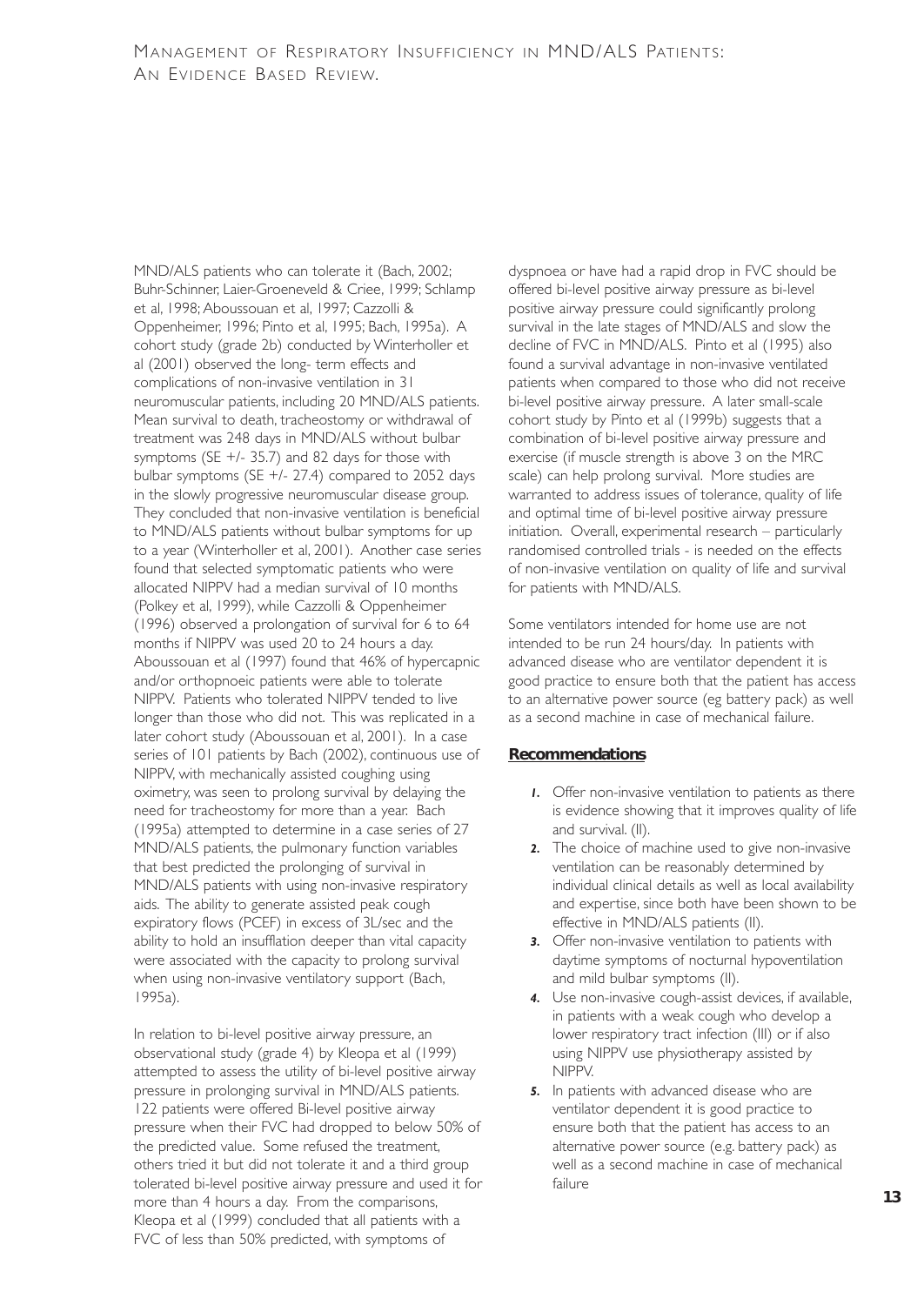MND/ALS patients who can tolerate it (Bach, 2002; Buhr-Schinner, Laier-Groeneveld & Criee, 1999; Schlamp et al, 1998; Aboussouan et al, 1997; Cazzolli & Oppenheimer, 1996; Pinto et al, 1995; Bach, 1995a). A cohort study (grade 2b) conducted by Winterholler et al (2001) observed the long- term effects and complications of non-invasive ventilation in 31 neuromuscular patients, including 20 MND/ALS patients. Mean survival to death, tracheostomy or withdrawal of treatment was 248 days in MND/ALS without bulbar symptoms (SE  $+/-$  35.7) and 82 days for those with bulbar symptoms (SE +/- 27.4) compared to 2052 days in the slowly progressive neuromuscular disease group. They concluded that non-invasive ventilation is beneficial to MND/ALS patients without bulbar symptoms for up to a year (Winterholler et al, 2001). Another case series found that selected symptomatic patients who were allocated NIPPV had a median survival of 10 months (Polkey et al, 1999), while Cazzolli & Oppenheimer (1996) observed a prolongation of survival for 6 to 64 months if NIPPV was used 20 to 24 hours a day. Aboussouan et al (1997) found that 46% of hypercapnic and/or orthopnoeic patients were able to tolerate NIPPV. Patients who tolerated NIPPV tended to live longer than those who did not. This was replicated in a later cohort study (Aboussouan et al, 2001). In a case series of 101 patients by Bach (2002), continuous use of NIPPV, with mechanically assisted coughing using oximetry, was seen to prolong survival by delaying the need for tracheostomy for more than a year. Bach (1995a) attempted to determine in a case series of 27 MND/ALS patients, the pulmonary function variables that best predicted the prolonging of survival in MND/ALS patients with using non-invasive respiratory aids. The ability to generate assisted peak cough expiratory flows (PCEF) in excess of 3L/sec and the ability to hold an insufflation deeper than vital capacity were associated with the capacity to prolong survival when using non-invasive ventilatory support (Bach, 1995a).

In relation to bi-level positive airway pressure, an observational study (grade 4) by Kleopa et al (1999) attempted to assess the utility of bi-level positive airway pressure in prolonging survival in MND/ALS patients. 122 patients were offered Bi-level positive airway pressure when their FVC had dropped to below 50% of the predicted value. Some refused the treatment, others tried it but did not tolerate it and a third group tolerated bi-level positive airway pressure and used it for more than 4 hours a day. From the comparisons, Kleopa et al (1999) concluded that all patients with a FVC of less than 50% predicted, with symptoms of

dyspnoea or have had a rapid drop in FVC should be offered bi-level positive airway pressure as bi-level positive airway pressure could significantly prolong survival in the late stages of MND/ALS and slow the decline of FVC in MND/ALS. Pinto et al (1995) also found a survival advantage in non-invasive ventilated patients when compared to those who did not receive bi-level positive airway pressure. A later small-scale cohort study by Pinto et al (1999b) suggests that a combination of bi-level positive airway pressure and exercise (if muscle strength is above 3 on the MRC scale) can help prolong survival. More studies are warranted to address issues of tolerance, quality of life and optimal time of bi-level positive airway pressure initiation. Overall, experimental research – particularly randomised controlled trials - is needed on the effects of non-invasive ventilation on quality of life and survival for patients with MND/ALS.

Some ventilators intended for home use are not intended to be run 24 hours/day. In patients with advanced disease who are ventilator dependent it is good practice to ensure both that the patient has access to an alternative power source (eg battery pack) as well as a second machine in case of mechanical failure.

#### **Recommendations**

- *1.* Offer non-invasive ventilation to patients as there is evidence showing that it improves quality of life and survival. (II).
- *2.* The choice of machine used to give non-invasive ventilation can be reasonably determined by individual clinical details as well as local availability and expertise, since both have been shown to be effective in MND/ALS patients (II).
- *3.* Offer non-invasive ventilation to patients with daytime symptoms of nocturnal hypoventilation and mild bulbar symptoms (II).
- *4.* Use non-invasive cough-assist devices, if available, in patients with a weak cough who develop a lower respiratory tract infection (III) or if also using NIPPV use physiotherapy assisted by NIPPV.
- *5.* In patients with advanced disease who are ventilator dependent it is good practice to ensure both that the patient has access to an alternative power source (e.g. battery pack) as well as a second machine in case of mechanical failure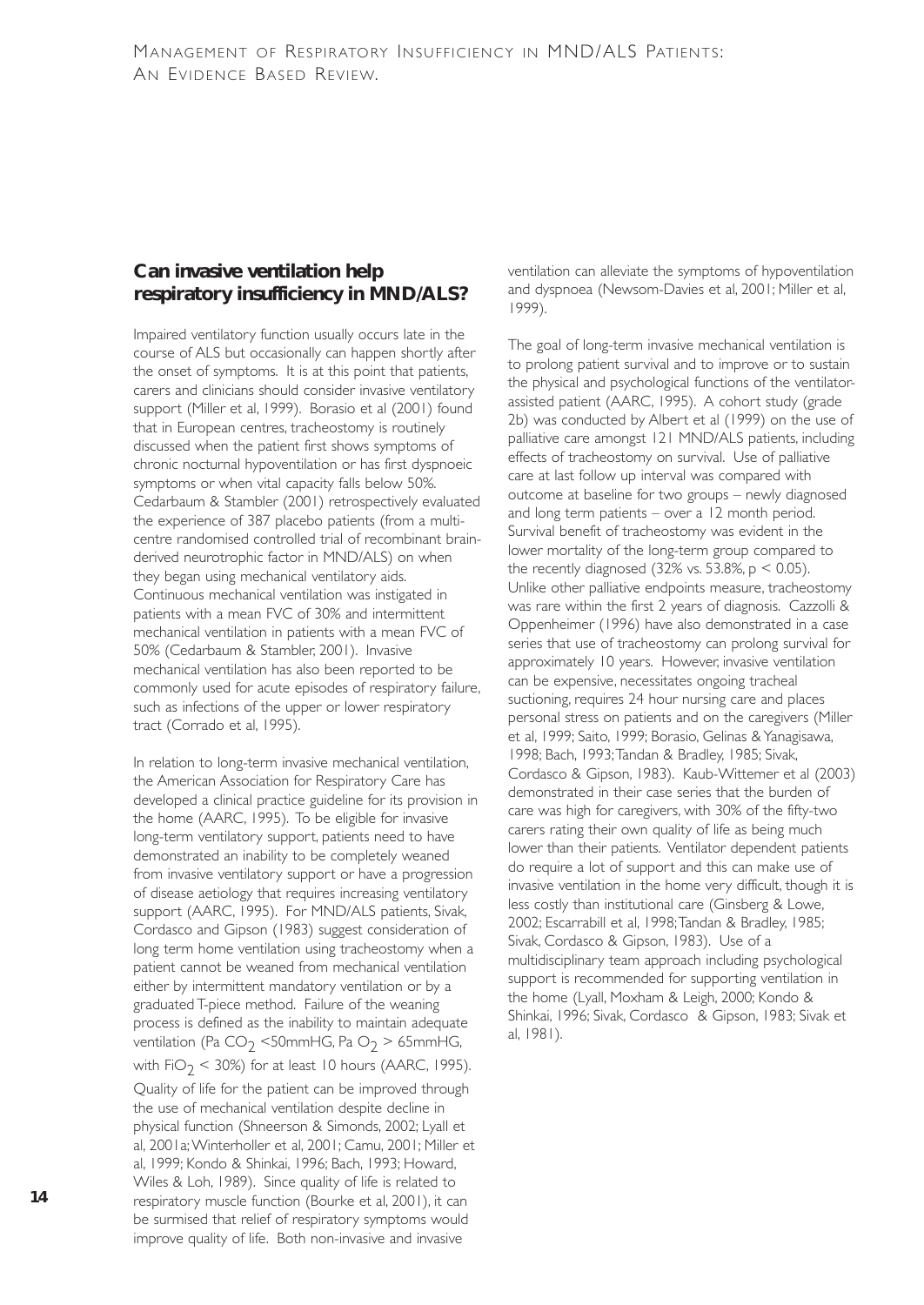## **Can invasive ventilation help respiratory insufficiency in MND/ALS?**

Impaired ventilatory function usually occurs late in the course of ALS but occasionally can happen shortly after the onset of symptoms. It is at this point that patients, carers and clinicians should consider invasive ventilatory support (Miller et al, 1999). Borasio et al (2001) found that in European centres, tracheostomy is routinely discussed when the patient first shows symptoms of chronic nocturnal hypoventilation or has first dyspnoeic symptoms or when vital capacity falls below 50%. Cedarbaum & Stambler (2001) retrospectively evaluated the experience of 387 placebo patients (from a multicentre randomised controlled trial of recombinant brainderived neurotrophic factor in MND/ALS) on when they began using mechanical ventilatory aids. Continuous mechanical ventilation was instigated in patients with a mean FVC of 30% and intermittent mechanical ventilation in patients with a mean FVC of 50% (Cedarbaum & Stambler, 2001). Invasive mechanical ventilation has also been reported to be commonly used for acute episodes of respiratory failure, such as infections of the upper or lower respiratory tract (Corrado et al, 1995).

In relation to long-term invasive mechanical ventilation, the American Association for Respiratory Care has developed a clinical practice guideline for its provision in the home (AARC, 1995). To be eligible for invasive long-term ventilatory support, patients need to have demonstrated an inability to be completely weaned from invasive ventilatory support or have a progression of disease aetiology that requires increasing ventilatory support (AARC, 1995). For MND/ALS patients, Sivak, Cordasco and Gipson (1983) suggest consideration of long term home ventilation using tracheostomy when a patient cannot be weaned from mechanical ventilation either by intermittent mandatory ventilation or by a graduated T-piece method. Failure of the weaning process is defined as the inability to maintain adequate ventilation (Pa CO<sub>2</sub> <50mmHG, Pa O<sub>2</sub> > 65mmHG, with FiO<sub>2</sub> < 30%) for at least 10 hours (AARC, 1995). Quality of life for the patient can be improved through the use of mechanical ventilation despite decline in physical function (Shneerson & Simonds, 2002; Lyall et al, 2001a;Winterholler et al, 2001; Camu, 2001; Miller et al, 1999; Kondo & Shinkai, 1996; Bach, 1993; Howard,

Wiles & Loh, 1989). Since quality of life is related to respiratory muscle function (Bourke et al, 2001), it can be surmised that relief of respiratory symptoms would improve quality of life. Both non-invasive and invasive

ventilation can alleviate the symptoms of hypoventilation and dyspnoea (Newsom-Davies et al, 2001; Miller et al, 1999).

The goal of long-term invasive mechanical ventilation is to prolong patient survival and to improve or to sustain the physical and psychological functions of the ventilatorassisted patient (AARC, 1995). A cohort study (grade 2b) was conducted by Albert et al (1999) on the use of palliative care amongst 121 MND/ALS patients, including effects of tracheostomy on survival. Use of palliative care at last follow up interval was compared with outcome at baseline for two groups – newly diagnosed and long term patients – over a 12 month period. Survival benefit of tracheostomy was evident in the lower mortality of the long-term group compared to the recently diagnosed  $(32\% \text{ vs. } 53.8\%, \text{ p} < 0.05)$ . Unlike other palliative endpoints measure, tracheostomy was rare within the first 2 years of diagnosis. Cazzolli & Oppenheimer (1996) have also demonstrated in a case series that use of tracheostomy can prolong survival for approximately 10 years. However, invasive ventilation can be expensive, necessitates ongoing tracheal suctioning, requires 24 hour nursing care and places personal stress on patients and on the caregivers (Miller et al, 1999; Saito, 1999; Borasio, Gelinas & Yanagisawa, 1998; Bach, 1993;Tandan & Bradley, 1985; Sivak, Cordasco & Gipson, 1983). Kaub-Wittemer et al (2003) demonstrated in their case series that the burden of care was high for caregivers, with 30% of the fifty-two carers rating their own quality of life as being much lower than their patients. Ventilator dependent patients do require a lot of support and this can make use of invasive ventilation in the home very difficult, though it is less costly than institutional care (Ginsberg & Lowe, 2002; Escarrabill et al, 1998;Tandan & Bradley, 1985; Sivak, Cordasco & Gipson, 1983). Use of a multidisciplinary team approach including psychological support is recommended for supporting ventilation in the home (Lyall, Moxham & Leigh, 2000; Kondo & Shinkai, 1996; Sivak, Cordasco & Gipson, 1983; Sivak et al, 1981).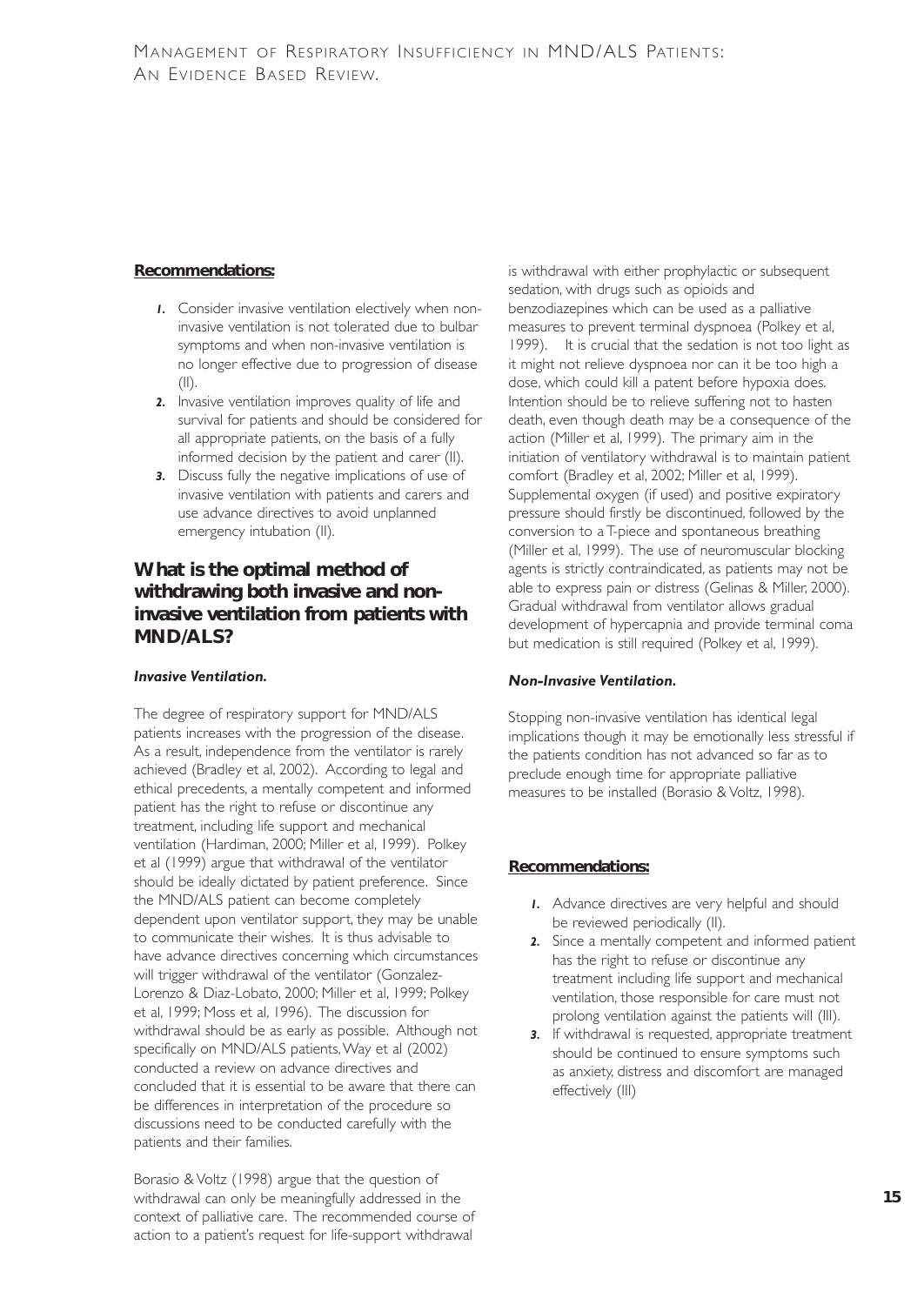## **Recommendations:**

- *1.* Consider invasive ventilation electively when noninvasive ventilation is not tolerated due to bulbar symptoms and when non-invasive ventilation is no longer effective due to progression of disease  $(11)$
- *2.* Invasive ventilation improves quality of life and survival for patients and should be considered for all appropriate patients, on the basis of a fully informed decision by the patient and carer (II).
- *3.* Discuss fully the negative implications of use of invasive ventilation with patients and carers and use advance directives to avoid unplanned emergency intubation (II).

## **What is the optimal method of withdrawing both invasive and noninvasive ventilation from patients with MND/ALS?**

### *Invasive Ventilation.*

The degree of respiratory support for MND/ALS patients increases with the progression of the disease. As a result, independence from the ventilator is rarely achieved (Bradley et al, 2002). According to legal and ethical precedents, a mentally competent and informed patient has the right to refuse or discontinue any treatment, including life support and mechanical ventilation (Hardiman, 2000; Miller et al, 1999). Polkey et al (1999) argue that withdrawal of the ventilator should be ideally dictated by patient preference. Since the MND/ALS patient can become completely dependent upon ventilator support, they may be unable to communicate their wishes. It is thus advisable to have advance directives concerning which circumstances will trigger withdrawal of the ventilator (Gonzalez-Lorenzo & Diaz-Lobato, 2000; Miller et al, 1999; Polkey et al, 1999; Moss et al, 1996). The discussion for withdrawal should be as early as possible. Although not specifically on MND/ALS patients, Way et al (2002) conducted a review on advance directives and concluded that it is essential to be aware that there can be differences in interpretation of the procedure so discussions need to be conducted carefully with the patients and their families.

Borasio & Voltz (1998) argue that the question of withdrawal can only be meaningfully addressed in the context of palliative care. The recommended course of action to a patient's request for life-support withdrawal

is withdrawal with either prophylactic or subsequent sedation, with drugs such as opioids and benzodiazepines which can be used as a palliative measures to prevent terminal dyspnoea (Polkey et al, 1999). It is crucial that the sedation is not too light as it might not relieve dyspnoea nor can it be too high a dose, which could kill a patent before hypoxia does. Intention should be to relieve suffering not to hasten death, even though death may be a consequence of the action (Miller et al, 1999). The primary aim in the initiation of ventilatory withdrawal is to maintain patient comfort (Bradley et al, 2002; Miller et al, 1999). Supplemental oxygen (if used) and positive expiratory pressure should firstly be discontinued, followed by the conversion to a T-piece and spontaneous breathing (Miller et al, 1999). The use of neuromuscular blocking agents is strictly contraindicated, as patients may not be able to express pain or distress (Gelinas & Miller, 2000). Gradual withdrawal from ventilator allows gradual development of hypercapnia and provide terminal coma but medication is still required (Polkey et al, 1999).

## *Non-Invasive Ventilation.*

Stopping non-invasive ventilation has identical legal implications though it may be emotionally less stressful if the patients condition has not advanced so far as to preclude enough time for appropriate palliative measures to be installed (Borasio & Voltz, 1998).

## **Recommendations:**

- *1.* Advance directives are very helpful and should be reviewed periodically (II).
- *2.* Since a mentally competent and informed patient has the right to refuse or discontinue any treatment including life support and mechanical ventilation, those responsible for care must not prolong ventilation against the patients will (III).
- **3.** If withdrawal is requested, appropriate treatment should be continued to ensure symptoms such as anxiety, distress and discomfort are managed effectively (III)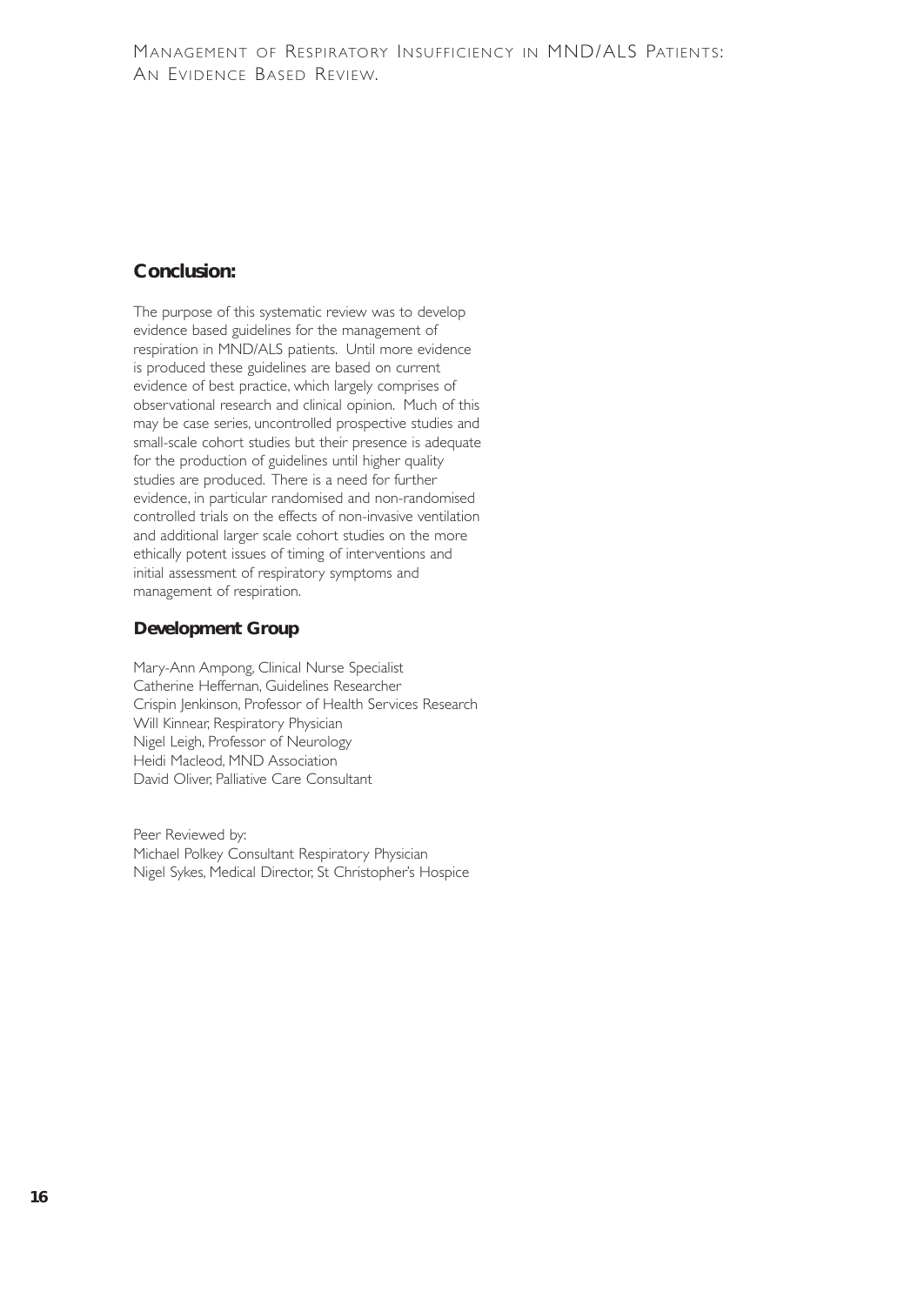## **Conclusion:**

The purpose of this systematic review was to develop evidence based guidelines for the management of respiration in MND/ALS patients. Until more evidence is produced these guidelines are based on current evidence of best practice, which largely comprises of observational research and clinical opinion. Much of this may be case series, uncontrolled prospective studies and small-scale cohort studies but their presence is adequate for the production of guidelines until higher quality studies are produced. There is a need for further evidence, in particular randomised and non-randomised controlled trials on the effects of non-invasive ventilation and additional larger scale cohort studies on the more ethically potent issues of timing of interventions and initial assessment of respiratory symptoms and management of respiration.

## **Development Group**

Mary-Ann Ampong, Clinical Nurse Specialist Catherine Heffernan, Guidelines Researcher Crispin Jenkinson, Professor of Health Services Research Will Kinnear, Respiratory Physician Nigel Leigh, Professor of Neurology Heidi Macleod, MND Association David Oliver, Palliative Care Consultant

Peer Reviewed by: Michael Polkey Consultant Respiratory Physician Nigel Sykes, Medical Director, St Christopher's Hospice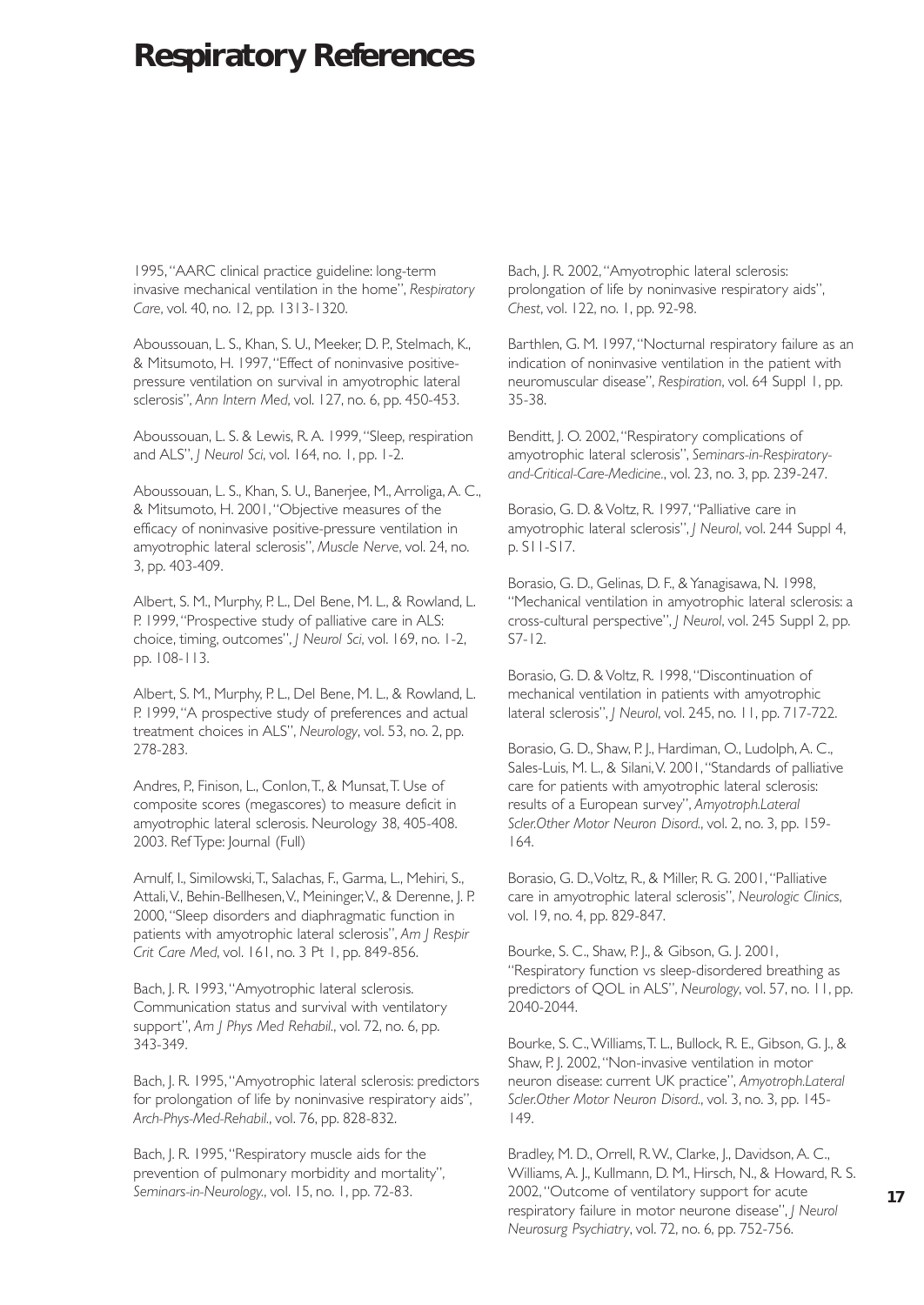# **Respiratory References**

1995,"AARC clinical practice guideline: long-term invasive mechanical ventilation in the home", *Respiratory Care*, vol. 40, no. 12, pp. 1313-1320.

Aboussouan, L. S., Khan, S. U., Meeker, D. P., Stelmach, K., & Mitsumoto, H. 1997,"Effect of noninvasive positivepressure ventilation on survival in amyotrophic lateral sclerosis", *Ann Intern Med*, vol. 127, no. 6, pp. 450-453.

Aboussouan, L. S. & Lewis, R. A. 1999,"Sleep, respiration and ALS", *J Neurol Sci*, vol. 164, no. 1, pp. 1-2.

Aboussouan, L. S., Khan, S. U., Banerjee, M., Arroliga, A. C., & Mitsumoto, H. 2001,"Objective measures of the efficacy of noninvasive positive-pressure ventilation in amyotrophic lateral sclerosis", *Muscle Nerve*, vol. 24, no. 3, pp. 403-409.

Albert, S. M., Murphy, P. L., Del Bene, M. L., & Rowland, L. P. 1999, "Prospective study of palliative care in ALS: choice, timing, outcomes", *J Neurol Sci*, vol. 169, no. 1-2, pp. 108-113.

Albert, S. M., Murphy, P. L., Del Bene, M. L., & Rowland, L. P. 1999,"A prospective study of preferences and actual treatment choices in ALS", *Neurology*, vol. 53, no. 2, pp. 278-283.

Andres, P., Finison, L., Conlon,T., & Munsat,T. Use of composite scores (megascores) to measure deficit in amyotrophic lateral sclerosis. Neurology 38, 405-408. 2003. Ref Type: Journal (Full)

Arnulf, I., Similowski,T., Salachas, F., Garma, L., Mehiri, S., Attali,V., Behin-Bellhesen,V., Meininger,V., & Derenne, J. P. 2000,"Sleep disorders and diaphragmatic function in patients with amyotrophic lateral sclerosis", *Am J Respir Crit Care Med*, vol. 161, no. 3 Pt 1, pp. 849-856.

Bach, J. R. 1993,"Amyotrophic lateral sclerosis. Communication status and survival with ventilatory support", *Am J Phys Med Rehabil.*, vol. 72, no. 6, pp. 343-349.

Bach, J. R. 1995,"Amyotrophic lateral sclerosis: predictors for prolongation of life by noninvasive respiratory aids", *Arch-Phys-Med-Rehabil.*, vol. 76, pp. 828-832.

Bach, J. R. 1995, "Respiratory muscle aids for the prevention of pulmonary morbidity and mortality", *Seminars-in-Neurology.*, vol. 15, no. 1, pp. 72-83.

Bach, J. R. 2002,"Amyotrophic lateral sclerosis: prolongation of life by noninvasive respiratory aids", *Chest*, vol. 122, no. 1, pp. 92-98.

Barthlen, G. M. 1997,"Nocturnal respiratory failure as an indication of noninvasive ventilation in the patient with neuromuscular disease", *Respiration*, vol. 64 Suppl 1, pp. 35-38.

Benditt, J. O. 2002,"Respiratory complications of amyotrophic lateral sclerosis", *Seminars-in-Respiratoryand-Critical-Care-Medicine.*, vol. 23, no. 3, pp. 239-247.

Borasio, G. D. & Voltz, R. 1997,"Palliative care in amyotrophic lateral sclerosis", *J Neurol*, vol. 244 Suppl 4, p. S11-S17.

Borasio, G. D., Gelinas, D. F., & Yanagisawa, N. 1998, "Mechanical ventilation in amyotrophic lateral sclerosis: a cross-cultural perspective", *J Neurol*, vol. 245 Suppl 2, pp. S7-12.

Borasio, G. D. & Voltz, R. 1998,"Discontinuation of mechanical ventilation in patients with amyotrophic lateral sclerosis", *J Neurol*, vol. 245, no. 11, pp. 717-722.

Borasio, G. D., Shaw, P. J., Hardiman, O., Ludolph, A. C., Sales-Luis, M. L., & Silani,V. 2001,"Standards of palliative care for patients with amyotrophic lateral sclerosis: results of a European survey", *Amyotroph.Lateral Scler.Other Motor Neuron Disord.*, vol. 2, no. 3, pp. 159- 164.

Borasio, G. D.,Voltz, R., & Miller, R. G. 2001,"Palliative care in amyotrophic lateral sclerosis", *Neurologic Clinics*, vol. 19, no. 4, pp. 829-847.

Bourke, S. C., Shaw, P. J., & Gibson, G. J. 2001, "Respiratory function vs sleep-disordered breathing as predictors of QOL in ALS", *Neurology*, vol. 57, no. 11, pp. 2040-2044.

Bourke, S. C.,Williams,T. L., Bullock, R. E., Gibson, G. J., & Shaw, P. J. 2002,"Non-invasive ventilation in motor neuron disease: current UK practice", *Amyotroph.Lateral Scler.Other Motor Neuron Disord.*, vol. 3, no. 3, pp. 145- 149.

Bradley, M. D., Orrell, R.W., Clarke, J., Davidson, A. C., Williams, A. J., Kullmann, D. M., Hirsch, N., & Howard, R. S. 2002,"Outcome of ventilatory support for acute respiratory failure in motor neurone disease", *J Neurol Neurosurg Psychiatry*, vol. 72, no. 6, pp. 752-756.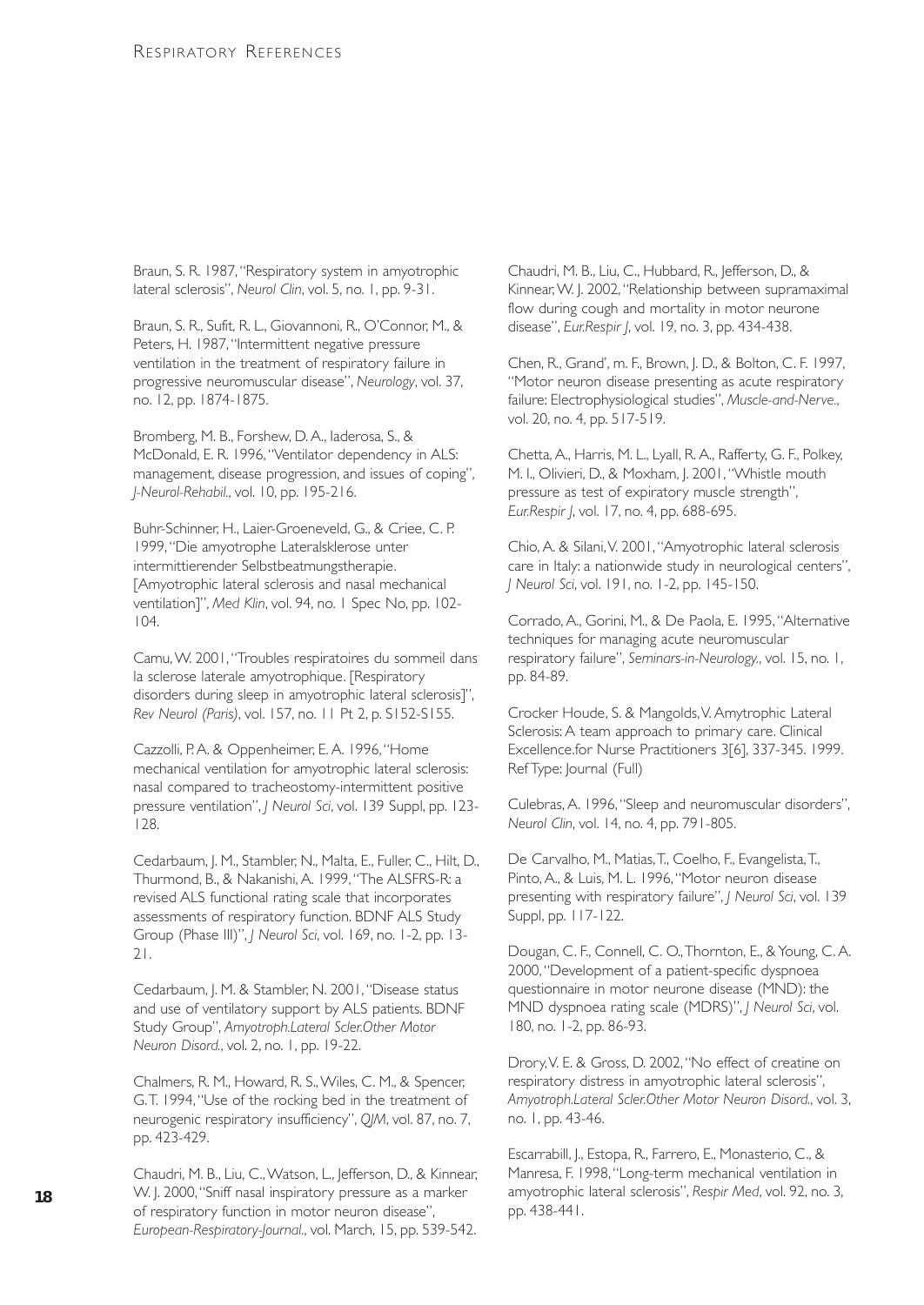Braun, S. R. 1987, "Respiratory system in amyotrophic lateral sclerosis", *Neurol Clin*, vol. 5, no. 1, pp. 9-31.

Braun, S. R., Sufit, R. L., Giovannoni, R., O'Connor, M., & Peters, H. 1987, "Intermittent negative pressure ventilation in the treatment of respiratory failure in progressive neuromuscular disease", *Neurology*, vol. 37, no. 12, pp. 1874-1875.

Bromberg, M. B., Forshew, D. A., Iaderosa, S., & McDonald, E. R. 1996,"Ventilator dependency in ALS: management, disease progression, and issues of coping", *J-Neurol-Rehabil.*, vol. 10, pp. 195-216.

Buhr-Schinner, H., Laier-Groeneveld, G., & Criee, C. P. 1999,"Die amyotrophe Lateralsklerose unter intermittierender Selbstbeatmungstherapie. [Amyotrophic lateral sclerosis and nasal mechanical ventilation]", *Med Klin*, vol. 94, no. 1 Spec No, pp. 102- 104.

Camu,W. 2001,"Troubles respiratoires du sommeil dans la sclerose laterale amyotrophique. [Respiratory disorders during sleep in amyotrophic lateral sclerosis]", *Rev Neurol (Paris)*, vol. 157, no. 11 Pt 2, p. S152-S155.

Cazzolli, P.A. & Oppenheimer, E.A. 1996, "Home mechanical ventilation for amyotrophic lateral sclerosis: nasal compared to tracheostomy-intermittent positive pressure ventilation", *J Neurol Sci*, vol. 139 Suppl, pp. 123- 128.

Cedarbaum, J. M., Stambler, N., Malta, E., Fuller, C., Hilt, D., Thurmond, B., & Nakanishi, A. 1999,"The ALSFRS-R: a revised ALS functional rating scale that incorporates assessments of respiratory function. BDNF ALS Study Group (Phase III)", *J Neurol Sci*, vol. 169, no. 1-2, pp. 13- 21.

Cedarbaum, J. M. & Stambler, N. 2001,"Disease status and use of ventilatory support by ALS patients. BDNF Study Group", *Amyotroph.Lateral Scler.Other Motor Neuron Disord.*, vol. 2, no. 1, pp. 19-22.

Chalmers, R. M., Howard, R. S.,Wiles, C. M., & Spencer, G.T. 1994,"Use of the rocking bed in the treatment of neurogenic respiratory insufficiency", *QJM*, vol. 87, no. 7, pp. 423-429.

Chaudri, M. B., Liu, C.,Watson, L., Jefferson, D., & Kinnear, W. J. 2000,"Sniff nasal inspiratory pressure as a marker of respiratory function in motor neuron disease", *European-Respiratory-Journal.*, vol. March, 15, pp. 539-542.

Chaudri, M. B., Liu, C., Hubbard, R., Jefferson, D., & Kinnear,W. J. 2002,"Relationship between supramaximal flow during cough and mortality in motor neurone disease", *Eur.Respir J*, vol. 19, no. 3, pp. 434-438.

Chen, R., Grand', m. F., Brown, J. D., & Bolton, C. F. 1997, "Motor neuron disease presenting as acute respiratory failure: Electrophysiological studies", *Muscle-and-Nerve.*, vol. 20, no. 4, pp. 517-519.

Chetta, A., Harris, M. L., Lyall, R. A., Rafferty, G. F., Polkey, M. I., Olivieri, D., & Moxham, J. 2001,"Whistle mouth pressure as test of expiratory muscle strength", *Eur.Respir J*, vol. 17, no. 4, pp. 688-695.

Chio, A. & Silani,V. 2001,"Amyotrophic lateral sclerosis care in Italy: a nationwide study in neurological centers", *J Neurol Sci*, vol. 191, no. 1-2, pp. 145-150.

Corrado, A., Gorini, M., & De Paola, E. 1995,"Alternative techniques for managing acute neuromuscular respiratory failure", *Seminars-in-Neurology.*, vol. 15, no. 1, pp. 84-89.

Crocker Houde, S. & Mangolds,V. Amytrophic Lateral Sclerosis: A team approach to primary care. Clinical Excellence.for Nurse Practitioners 3[6], 337-345. 1999. Ref Type: Journal (Full)

Culebras, A. 1996,"Sleep and neuromuscular disorders", *Neurol Clin*, vol. 14, no. 4, pp. 791-805.

De Carvalho, M., Matias,T., Coelho, F., Evangelista,T., Pinto, A., & Luis, M. L. 1996,"Motor neuron disease presenting with respiratory failure", *J Neurol Sci*, vol. 139 Suppl, pp. 117-122.

Dougan, C. F., Connell, C. O.,Thornton, E., & Young, C. A. 2000,"Development of a patient-specific dyspnoea questionnaire in motor neurone disease (MND): the MND dyspnoea rating scale (MDRS)", *J Neurol Sci*, vol. 180, no. 1-2, pp. 86-93.

Drory,V. E. & Gross, D. 2002,"No effect of creatine on respiratory distress in amyotrophic lateral sclerosis", *Amyotroph.Lateral Scler.Other Motor Neuron Disord.*, vol. 3, no. 1, pp. 43-46.

Escarrabill, J., Estopa, R., Farrero, E., Monasterio, C., & Manresa, F. 1998,"Long-term mechanical ventilation in amyotrophic lateral sclerosis", *Respir Med*, vol. 92, no. 3, pp. 438-441.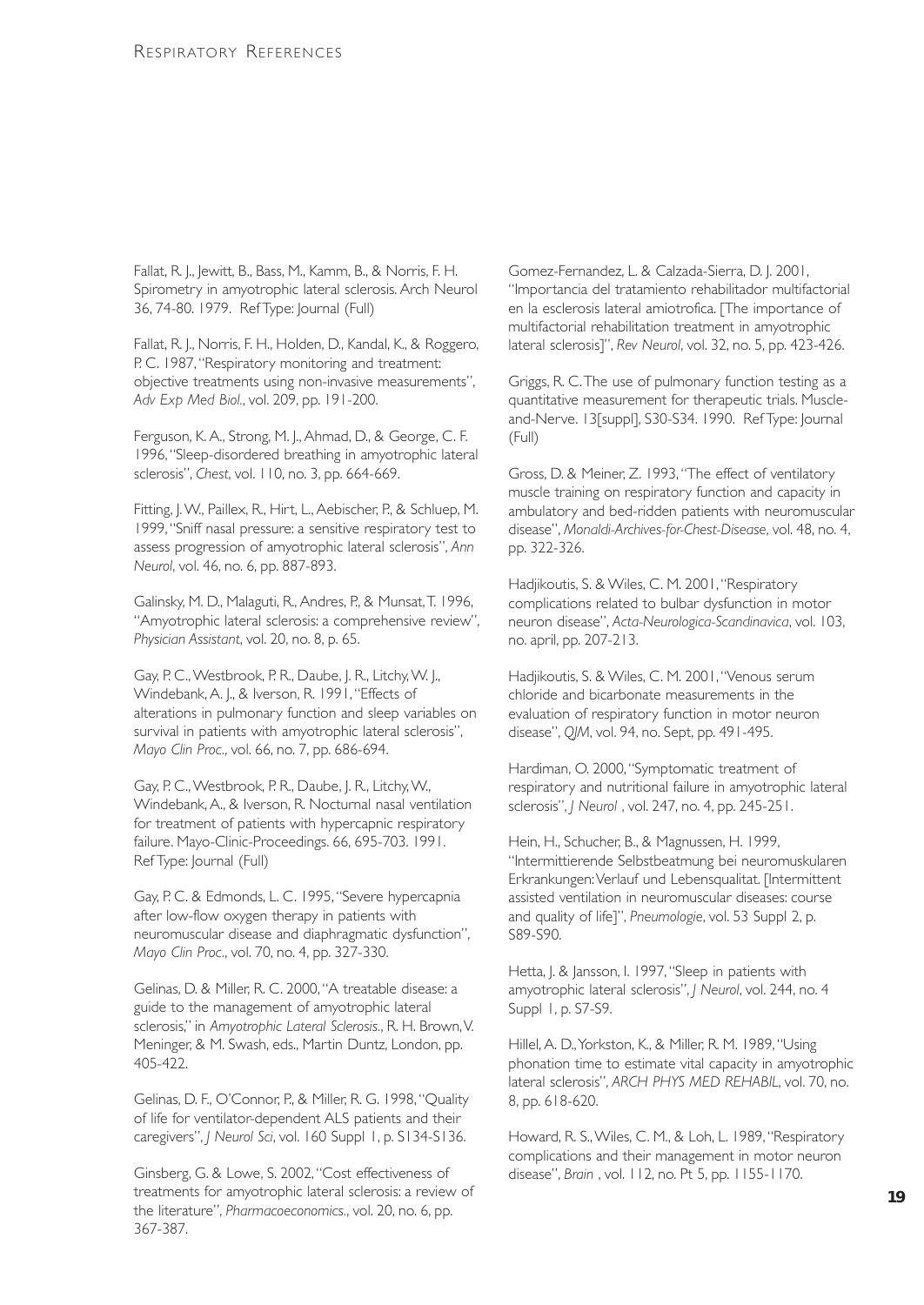Fallat, R. J., Jewitt, B., Bass, M., Kamm, B., & Norris, F. H. Spirometry in amyotrophic lateral sclerosis. Arch Neurol 36, 74-80. 1979. Ref Type: Journal (Full)

Fallat, R. J., Norris, F. H., Holden, D., Kandal, K., & Roggero, P. C. 1987, "Respiratory monitoring and treatment: objective treatments using non-invasive measurements", *Adv Exp Med Biol.*, vol. 209, pp. 191-200.

Ferguson, K. A., Strong, M. J., Ahmad, D., & George, C. F. 1996,"Sleep-disordered breathing in amyotrophic lateral sclerosis", *Chest*, vol. 110, no. 3, pp. 664-669.

Fitting, J.W., Paillex, R., Hirt, L., Aebischer, P., & Schluep, M. 1999,"Sniff nasal pressure: a sensitive respiratory test to assess progression of amyotrophic lateral sclerosis", *Ann Neurol*, vol. 46, no. 6, pp. 887-893.

Galinsky, M. D., Malaguti, R., Andres, P., & Munsat,T. 1996, "Amyotrophic lateral sclerosis: a comprehensive review", *Physician Assistant*, vol. 20, no. 8, p. 65.

Gay, P. C.,Westbrook, P. R., Daube, J. R., Litchy,W. J., Windebank, A. J., & Iverson, R. 1991,"Effects of alterations in pulmonary function and sleep variables on survival in patients with amyotrophic lateral sclerosis", *Mayo Clin Proc.*, vol. 66, no. 7, pp. 686-694.

Gay, P. C.,Westbrook, P. R., Daube, J. R., Litchy,W., Windebank, A., & Iverson, R. Nocturnal nasal ventilation for treatment of patients with hypercapnic respiratory failure. Mayo-Clinic-Proceedings. 66, 695-703. 1991. Ref Type: Journal (Full)

Gay, P. C. & Edmonds, L. C. 1995,"Severe hypercapnia after low-flow oxygen therapy in patients with neuromuscular disease and diaphragmatic dysfunction", *Mayo Clin Proc.*, vol. 70, no. 4, pp. 327-330.

Gelinas, D. & Miller, R. C. 2000,"A treatable disease: a guide to the management of amyotrophic lateral sclerosis," in *Amyotrophic Lateral Sclerosis.*, R. H. Brown,V. Meninger, & M. Swash, eds., Martin Duntz, London, pp. 405-422.

Gelinas, D. F., O'Connor, P., & Miller, R. G. 1998,"Quality of life for ventilator-dependent ALS patients and their caregivers", *J Neurol Sci*, vol. 160 Suppl 1, p. S134-S136.

Ginsberg, G. & Lowe, S. 2002,"Cost effectiveness of treatments for amyotrophic lateral sclerosis: a review of the literature", *Pharmacoeconomics.*, vol. 20, no. 6, pp. 367-387.

Gomez-Fernandez, L. & Calzada-Sierra, D. J. 2001, "Importancia del tratamiento rehabilitador multifactorial en la esclerosis lateral amiotrofica. [The importance of multifactorial rehabilitation treatment in amyotrophic lateral sclerosis]", *Rev Neurol*, vol. 32, no. 5, pp. 423-426.

Griggs, R. C.The use of pulmonary function testing as a quantitative measurement for therapeutic trials. Muscleand-Nerve. 13[suppl], S30-S34. 1990. Ref Type: Journal (Full)

Gross, D. & Meiner, Z. 1993,"The effect of ventilatory muscle training on respiratory function and capacity in ambulatory and bed-ridden patients with neuromuscular disease", *Monaldi-Archives-for-Chest-Disease*, vol. 48, no. 4, pp. 322-326.

Hadjikoutis, S. & Wiles, C. M. 2001,"Respiratory complications related to bulbar dysfunction in motor neuron disease", *Acta-Neurologica-Scandinavica*, vol. 103, no. april, pp. 207-213.

Hadjikoutis, S. & Wiles, C. M. 2001,"Venous serum chloride and bicarbonate measurements in the evaluation of respiratory function in motor neuron disease", *QJM*, vol. 94, no. Sept, pp. 491-495.

Hardiman, O. 2000,"Symptomatic treatment of respiratory and nutritional failure in amyotrophic lateral sclerosis", *J Neurol* , vol. 247, no. 4, pp. 245-251.

Hein, H., Schucher, B., & Magnussen, H. 1999, "Intermittierende Selbstbeatmung bei neuromuskularen Erkrankungen:Verlauf und Lebensqualitat. [Intermittent assisted ventilation in neuromuscular diseases: course and quality of life]", *Pneumologie*, vol. 53 Suppl 2, p. S89-S90.

Hetta, J. & Jansson, I. 1997,"Sleep in patients with amyotrophic lateral sclerosis", *J Neurol*, vol. 244, no. 4 Suppl 1, p. S7-S9.

Hillel, A. D.,Yorkston, K., & Miller, R. M. 1989,"Using phonation time to estimate vital capacity in amyotrophic lateral sclerosis", *ARCH PHYS MED REHABIL*, vol. 70, no. 8, pp. 618-620.

Howard, R. S.,Wiles, C. M., & Loh, L. 1989,"Respiratory complications and their management in motor neuron disease", *Brain* , vol. 112, no. Pt 5, pp. 1155-1170.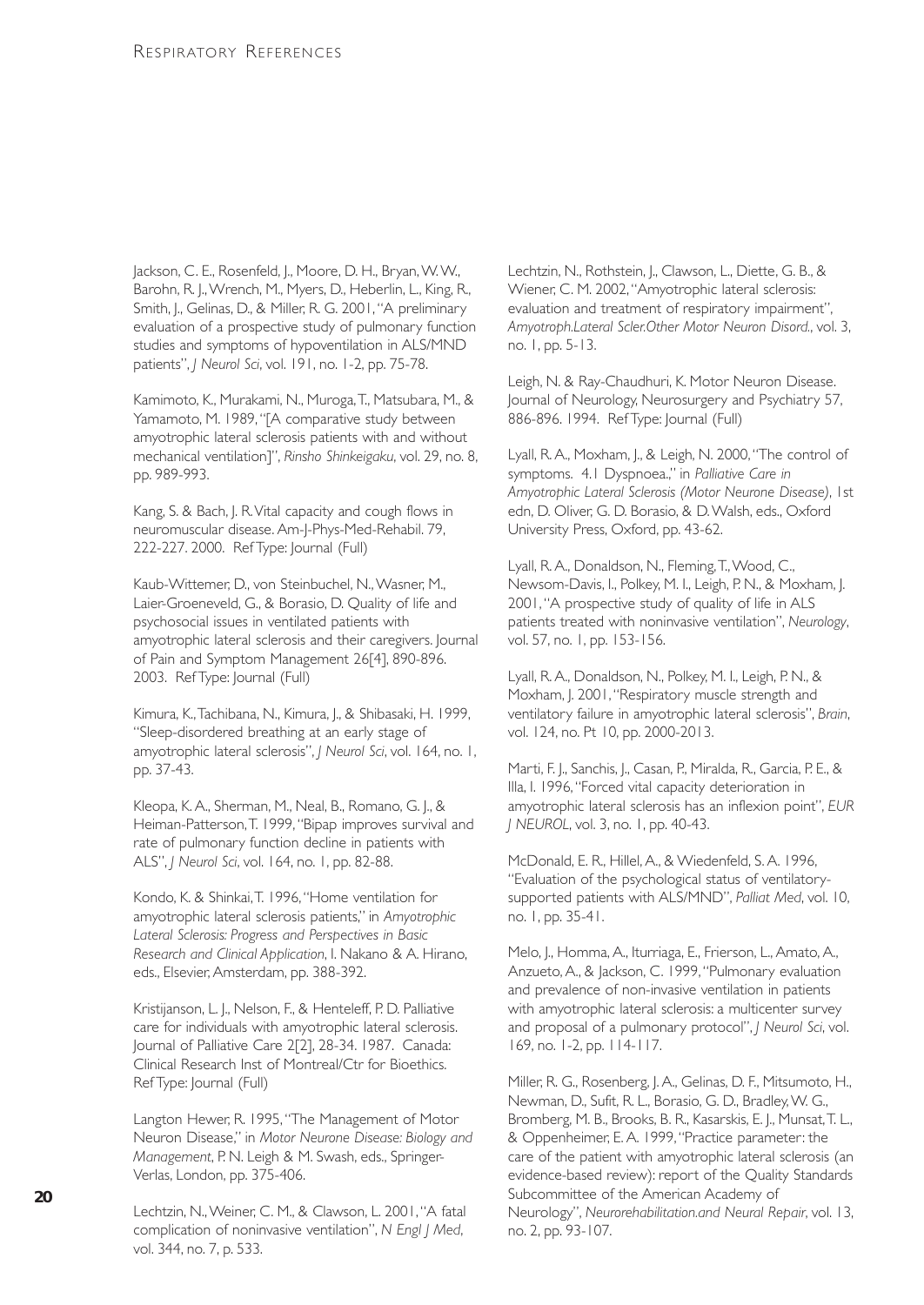Jackson, C. E., Rosenfeld, J., Moore, D. H., Bryan, W. W., Barohn, R. J.,Wrench, M., Myers, D., Heberlin, L., King, R., Smith, J., Gelinas, D., & Miller, R. G. 2001,"A preliminary evaluation of a prospective study of pulmonary function studies and symptoms of hypoventilation in ALS/MND patients", *J Neurol Sci*, vol. 191, no. 1-2, pp. 75-78.

Kamimoto, K., Murakami, N., Muroga,T., Matsubara, M., & Yamamoto, M. 1989,"[A comparative study between amyotrophic lateral sclerosis patients with and without mechanical ventilation]", *Rinsho Shinkeigaku*, vol. 29, no. 8, pp. 989-993.

Kang, S. & Bach, J. R.Vital capacity and cough flows in neuromuscular disease. Am-J-Phys-Med-Rehabil. 79, 222-227. 2000. Ref Type: Journal (Full)

Kaub-Wittemer, D., von Steinbuchel, N., Wasner, M., Laier-Groeneveld, G., & Borasio, D. Quality of life and psychosocial issues in ventilated patients with amyotrophic lateral sclerosis and their caregivers. Journal of Pain and Symptom Management 26[4], 890-896. 2003. Ref Type: Journal (Full)

Kimura, K.,Tachibana, N., Kimura, J., & Shibasaki, H. 1999, "Sleep-disordered breathing at an early stage of amyotrophic lateral sclerosis", *J Neurol Sci*, vol. 164, no. 1, pp. 37-43.

Kleopa, K. A., Sherman, M., Neal, B., Romano, G. J., & Heiman-Patterson,T. 1999,"Bipap improves survival and rate of pulmonary function decline in patients with ALS", *J Neurol Sci*, vol. 164, no. 1, pp. 82-88.

Kondo, K. & Shinkai,T. 1996,"Home ventilation for amyotrophic lateral sclerosis patients," in *Amyotrophic Lateral Sclerosis: Progress and Perspectives in Basic Research and Clinical Application*, I. Nakano & A. Hirano, eds., Elsevier, Amsterdam, pp. 388-392.

Kristijanson, L. J., Nelson, F., & Henteleff, P. D. Palliative care for individuals with amyotrophic lateral sclerosis. Journal of Palliative Care 2[2], 28-34. 1987. Canada: Clinical Research Inst of Montreal/Ctr for Bioethics. Ref Type: Journal (Full)

Langton Hewer, R. 1995,"The Management of Motor Neuron Disease," in *Motor Neurone Disease: Biology and Management*, P. N. Leigh & M. Swash, eds., Springer-Verlas, London, pp. 375-406.

Lechtzin, N.,Weiner, C. M., & Clawson, L. 2001,"A fatal complication of noninvasive ventilation", *N Engl J Med*, vol. 344, no. 7, p. 533.

Lechtzin, N., Rothstein, J., Clawson, L., Diette, G. B., & Wiener, C. M. 2002,"Amyotrophic lateral sclerosis: evaluation and treatment of respiratory impairment", *Amyotroph.Lateral Scler.Other Motor Neuron Disord.*, vol. 3, no. 1, pp. 5-13.

Leigh, N. & Ray-Chaudhuri, K. Motor Neuron Disease. Journal of Neurology, Neurosurgery and Psychiatry 57, 886-896. 1994. Ref Type: Journal (Full)

Lyall, R. A., Moxham, J., & Leigh, N. 2000,"The control of symptoms. 4.1 Dyspnoea.," in *Palliative Care in Amyotrophic Lateral Sclerosis (Motor Neurone Disease)*, 1st edn, D. Oliver, G. D. Borasio, & D.Walsh, eds., Oxford University Press, Oxford, pp. 43-62.

Lyall, R. A., Donaldson, N., Fleming, T., Wood, C., Newsom-Davis, I., Polkey, M. I., Leigh, P. N., & Moxham, J. 2001,"A prospective study of quality of life in ALS patients treated with noninvasive ventilation", *Neurology*, vol. 57, no. 1, pp. 153-156.

Lyall, R. A., Donaldson, N., Polkey, M. I., Leigh, P. N., & Moxham, J. 2001, "Respiratory muscle strength and ventilatory failure in amyotrophic lateral sclerosis", *Brain*, vol. 124, no. Pt 10, pp. 2000-2013.

Marti, F. J., Sanchis, J., Casan, P., Miralda, R., Garcia, P. E., & Illa, I. 1996,"Forced vital capacity deterioration in amyotrophic lateral sclerosis has an inflexion point", *EUR J NEUROL*, vol. 3, no. 1, pp. 40-43.

McDonald, E. R., Hillel, A., & Wiedenfeld, S. A. 1996, "Evaluation of the psychological status of ventilatorysupported patients with ALS/MND", *Palliat Med*, vol. 10, no. 1, pp. 35-41.

Melo, J., Homma, A., Iturriaga, E., Frierson, L., Amato, A., Anzueto, A., & Jackson, C. 1999,"Pulmonary evaluation and prevalence of non-invasive ventilation in patients with amyotrophic lateral sclerosis: a multicenter survey and proposal of a pulmonary protocol", *J Neurol Sci*, vol. 169, no. 1-2, pp. 114-117.

Miller, R. G., Rosenberg, J. A., Gelinas, D. F., Mitsumoto, H., Newman, D., Sufit, R. L., Borasio, G. D., Bradley,W. G., Bromberg, M. B., Brooks, B. R., Kasarskis, E. J., Munsat,T. L., & Oppenheimer, E. A. 1999,"Practice parameter: the care of the patient with amyotrophic lateral sclerosis (an evidence-based review): report of the Quality Standards Subcommittee of the American Academy of Neurology", *Neurorehabilitation.and Neural Repair*, vol. 13, no. 2, pp. 93-107.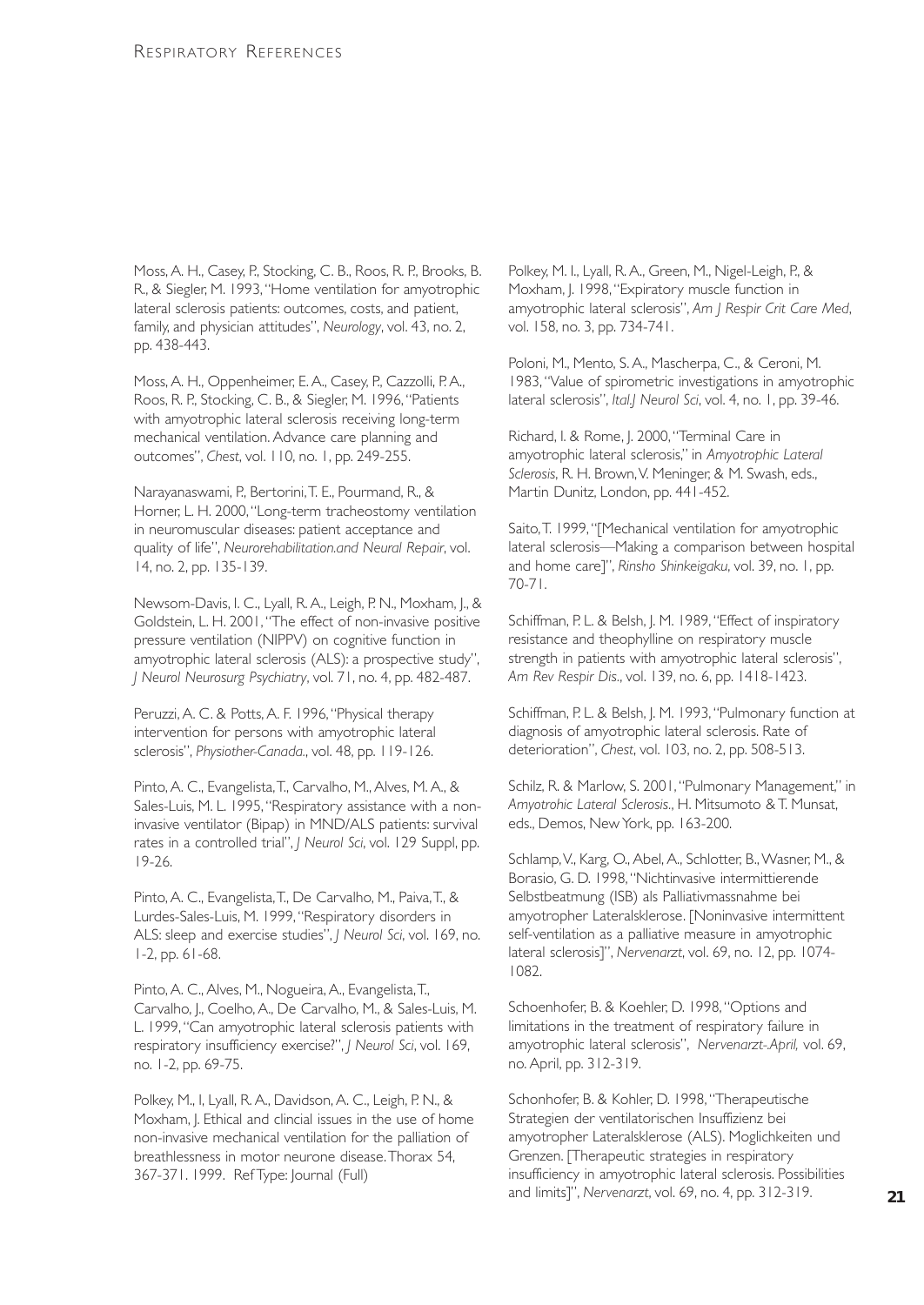Moss, A. H., Casey, P., Stocking, C. B., Roos, R. P., Brooks, B. R., & Siegler, M. 1993,"Home ventilation for amyotrophic lateral sclerosis patients: outcomes, costs, and patient, family, and physician attitudes", *Neurology*, vol. 43, no. 2, pp. 438-443.

Moss, A. H., Oppenheimer, E. A., Casey, P., Cazzolli, P. A., Roos, R. P., Stocking, C. B., & Siegler, M. 1996,"Patients with amyotrophic lateral sclerosis receiving long-term mechanical ventilation. Advance care planning and outcomes", *Chest*, vol. 110, no. 1, pp. 249-255.

Narayanaswami, P., Bertorini,T. E., Pourmand, R., & Horner, L. H. 2000,"Long-term tracheostomy ventilation in neuromuscular diseases: patient acceptance and quality of life", *Neurorehabilitation.and Neural Repair*, vol. 14, no. 2, pp. 135-139.

Newsom-Davis, I. C., Lyall, R. A., Leigh, P. N., Moxham, J., & Goldstein, L. H. 2001,"The effect of non-invasive positive pressure ventilation (NIPPV) on cognitive function in amyotrophic lateral sclerosis (ALS): a prospective study", *J Neurol Neurosurg Psychiatry*, vol. 71, no. 4, pp. 482-487.

Peruzzi, A. C. & Potts, A. F. 1996,"Physical therapy intervention for persons with amyotrophic lateral sclerosis", *Physiother-Canada.*, vol. 48, pp. 119-126.

Pinto, A. C., Evangelista,T., Carvalho, M., Alves, M. A., & Sales-Luis, M. L. 1995, "Respiratory assistance with a noninvasive ventilator (Bipap) in MND/ALS patients: survival rates in a controlled trial", *J Neurol Sci*, vol. 129 Suppl, pp. 19-26.

Pinto, A. C., Evangelista,T., De Carvalho, M., Paiva,T., & Lurdes-Sales-Luis, M. 1999,"Respiratory disorders in ALS: sleep and exercise studies", *J Neurol Sci*, vol. 169, no. 1-2, pp. 61-68.

Pinto, A. C., Alves, M., Nogueira, A., Evangelista,T., Carvalho, J., Coelho, A., De Carvalho, M., & Sales-Luis, M. L. 1999,"Can amyotrophic lateral sclerosis patients with respiratory insufficiency exercise?", *J Neurol Sci*, vol. 169, no. 1-2, pp. 69-75.

Polkey, M., I, Lyall, R. A., Davidson, A. C., Leigh, P. N., & Moxham, J. Ethical and clincial issues in the use of home non-invasive mechanical ventilation for the palliation of breathlessness in motor neurone disease.Thorax 54, 367-371. 1999. Ref Type: Journal (Full)

Polkey, M. I., Lyall, R. A., Green, M., Nigel-Leigh, P., & Moxham, J. 1998,"Expiratory muscle function in amyotrophic lateral sclerosis", *Am J Respir Crit Care Med*, vol. 158, no. 3, pp. 734-741.

Poloni, M., Mento, S. A., Mascherpa, C., & Ceroni, M. 1983,"Value of spirometric investigations in amyotrophic lateral sclerosis", *Ital.J Neurol Sci*, vol. 4, no. 1, pp. 39-46.

Richard, I. & Rome, J. 2000,"Terminal Care in amyotrophic lateral sclerosis," in *Amyotrophic Lateral Sclerosis*, R. H. Brown,V. Meninger, & M. Swash, eds., Martin Dunitz, London, pp. 441-452.

Saito, T. 1999, "[Mechanical ventilation for amyotrophic lateral sclerosis—Making a comparison between hospital and home care]", *Rinsho Shinkeigaku*, vol. 39, no. 1, pp. 70-71.

Schiffman, P. L. & Belsh, J. M. 1989, "Effect of inspiratory resistance and theophylline on respiratory muscle strength in patients with amyotrophic lateral sclerosis", *Am Rev Respir Dis.*, vol. 139, no. 6, pp. 1418-1423.

Schiffman, P. L. & Belsh, J. M. 1993, "Pulmonary function at diagnosis of amyotrophic lateral sclerosis. Rate of deterioration", *Chest*, vol. 103, no. 2, pp. 508-513.

Schilz, R. & Marlow, S. 2001,"Pulmonary Management," in *Amyotrohic Lateral Sclerosis.*, H. Mitsumoto & T. Munsat, eds., Demos, New York, pp. 163-200.

Schlamp, V., Karg, O., Abel, A., Schlotter, B., Wasner, M., & Borasio, G. D. 1998,"Nichtinvasive intermittierende Selbstbeatmung (ISB) als Palliativmassnahme bei amyotropher Lateralsklerose. [Noninvasive intermittent self-ventilation as a palliative measure in amyotrophic lateral sclerosis]", *Nervenarzt*, vol. 69, no. 12, pp. 1074- 1082.

Schoenhofer, B. & Koehler, D. 1998,"Options and limitations in the treatment of respiratory failure in amyotrophic lateral sclerosis", *Nervenarzt-.April,* vol. 69, no. April, pp. 312-319.

Schonhofer, B. & Kohler, D. 1998,"Therapeutische Strategien der ventilatorischen Insuffizienz bei amyotropher Lateralsklerose (ALS). Moglichkeiten und Grenzen. [Therapeutic strategies in respiratory insufficiency in amyotrophic lateral sclerosis. Possibilities and limits]", *Nervenarzt*, vol. 69, no. 4, pp. 312-319.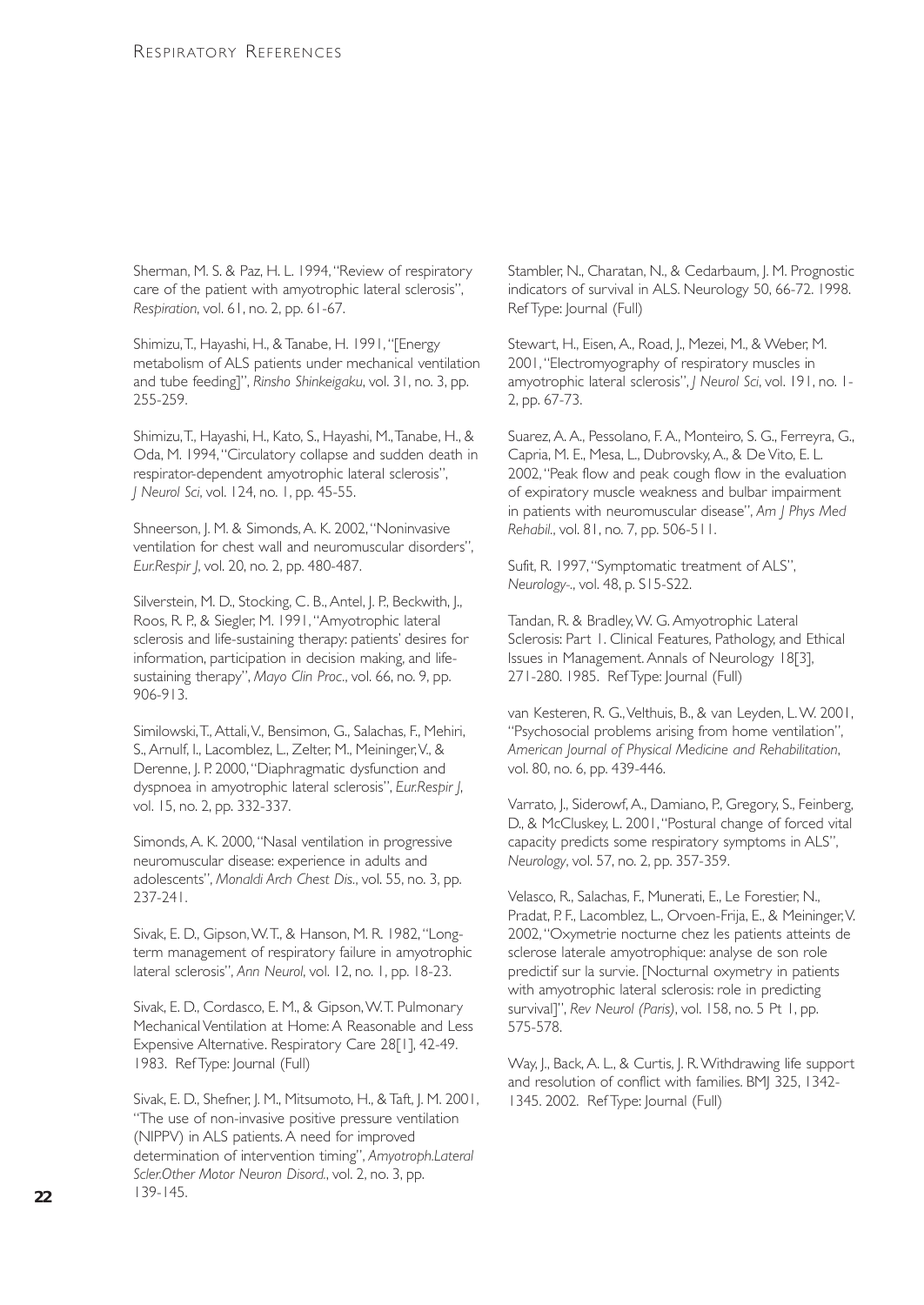Sherman, M. S. & Paz, H. L. 1994,"Review of respiratory care of the patient with amyotrophic lateral sclerosis", *Respiration*, vol. 61, no. 2, pp. 61-67.

Shimizu, T., Hayashi, H., & Tanabe, H. 1991, "[Energy metabolism of ALS patients under mechanical ventilation and tube feeding]", *Rinsho Shinkeigaku*, vol. 31, no. 3, pp. 255-259.

Shimizu,T., Hayashi, H., Kato, S., Hayashi, M.,Tanabe, H., & Oda, M. 1994,"Circulatory collapse and sudden death in respirator-dependent amyotrophic lateral sclerosis", *J Neurol Sci*, vol. 124, no. 1, pp. 45-55.

Shneerson, J. M. & Simonds, A. K. 2002,"Noninvasive ventilation for chest wall and neuromuscular disorders", *Eur.Respir J*, vol. 20, no. 2, pp. 480-487.

Silverstein, M. D., Stocking, C. B., Antel, J. P., Beckwith, J., Roos, R. P., & Siegler, M. 1991,"Amyotrophic lateral sclerosis and life-sustaining therapy: patients' desires for information, participation in decision making, and lifesustaining therapy", *Mayo Clin Proc.*, vol. 66, no. 9, pp. 906-913.

Similowski,T., Attali,V., Bensimon, G., Salachas, F., Mehiri, S., Arnulf, I., Lacomblez, L., Zelter, M., Meininger,V., & Derenne, J. P. 2000, "Diaphragmatic dysfunction and dyspnoea in amyotrophic lateral sclerosis", *Eur.Respir J*, vol. 15, no. 2, pp. 332-337.

Simonds, A. K. 2000,"Nasal ventilation in progressive neuromuscular disease: experience in adults and adolescents", *Monaldi Arch Chest Dis.*, vol. 55, no. 3, pp. 237-241.

Sivak, E. D., Gipson,W.T., & Hanson, M. R. 1982,"Longterm management of respiratory failure in amyotrophic lateral sclerosis", *Ann Neurol*, vol. 12, no. 1, pp. 18-23.

Sivak, E. D., Cordasco, E. M., & Gipson,W.T. Pulmonary Mechanical Ventilation at Home: A Reasonable and Less Expensive Alternative. Respiratory Care 28[1], 42-49. 1983. Ref Type: Journal (Full)

Sivak, E. D., Shefner, J. M., Mitsumoto, H., & Taft, J. M. 2001, "The use of non-invasive positive pressure ventilation (NIPPV) in ALS patients. A need for improved determination of intervention timing", *Amyotroph.Lateral Scler.Other Motor Neuron Disord.*, vol. 2, no. 3, pp. 139-145.

Stambler, N., Charatan, N., & Cedarbaum, J. M. Prognostic indicators of survival in ALS. Neurology 50, 66-72. 1998. Ref Type: Journal (Full)

Stewart, H., Eisen, A., Road, J., Mezei, M., & Weber, M. 2001,"Electromyography of respiratory muscles in amyotrophic lateral sclerosis", *J Neurol Sci*, vol. 191, no. 1- 2, pp. 67-73.

Suarez, A. A., Pessolano, F. A., Monteiro, S. G., Ferreyra, G., Capria, M. E., Mesa, L., Dubrovsky, A., & De Vito, E. L. 2002,"Peak flow and peak cough flow in the evaluation of expiratory muscle weakness and bulbar impairment in patients with neuromuscular disease", *Am J Phys Med Rehabil.*, vol. 81, no. 7, pp. 506-511.

Sufit, R. 1997,"Symptomatic treatment of ALS", *Neurology-.*, vol. 48, p. S15-S22.

Tandan, R. & Bradley, W. G. Amyotrophic Lateral Sclerosis: Part 1. Clinical Features, Pathology, and Ethical Issues in Management. Annals of Neurology 18[3], 271-280. 1985. Ref Type: Journal (Full)

van Kesteren, R. G.,Velthuis, B., & van Leyden, L.W. 2001, "Psychosocial problems arising from home ventilation", *American Journal of Physical Medicine and Rehabilitation*, vol. 80, no. 6, pp. 439-446.

Varrato, J., Siderowf, A., Damiano, P., Gregory, S., Feinberg, D., & McCluskey, L. 2001,"Postural change of forced vital capacity predicts some respiratory symptoms in ALS", *Neurology*, vol. 57, no. 2, pp. 357-359.

Velasco, R., Salachas, F., Munerati, E., Le Forestier, N., Pradat, P. F., Lacomblez, L., Orvoen-Frija, E., & Meininger, V. 2002,"Oxymetrie nocturne chez les patients atteints de sclerose laterale amyotrophique: analyse de son role predictif sur la survie. [Nocturnal oxymetry in patients with amyotrophic lateral sclerosis: role in predicting survival]", *Rev Neurol (Paris)*, vol. 158, no. 5 Pt 1, pp. 575-578.

Way, J., Back, A. L., & Curtis, J. R.Withdrawing life support and resolution of conflict with families. BMJ 325, 1342-1345. 2002. Ref Type: Journal (Full)